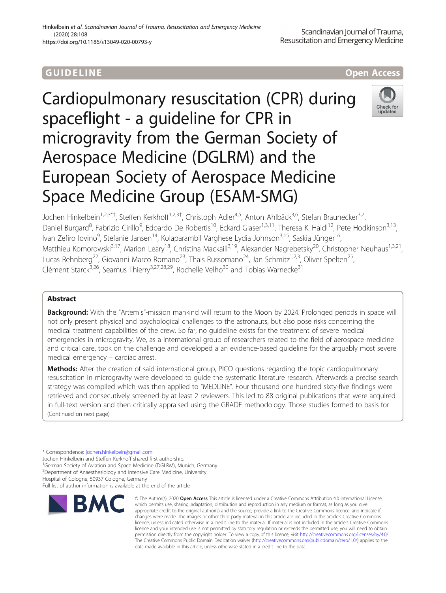## Hinkelbein et al. Scandinavian Journal of Trauma, Resuscitation and Emergency Medicine (2020) 28:108 https://doi.org/10.1186/s13049-020-00793-y

# **GUIDELINE** CONTROLLER CONTROLLER CONTROLLER CONTROLLER CONTROLLER CONTROLLER CONTROLLER CONTROLLER CONTROLLER CON

# Cardiopulmonary resuscitation (CPR) during spaceflight - a guideline for CPR in microgravity from the German Society of Aerospace Medicine (DGLRM) and the European Society of Aerospace Medicine Space Medicine Group (ESAM-SMG)



Jochen Hinkelbein<sup>1,2,3\*†</sup>, Steffen Kerkhoff<sup>1,2,3†</sup>, Christoph Adler<sup>4,5</sup>, Anton Ahlbäck<sup>3,6</sup>, Stefan Braunecker<sup>3,7</sup>, Daniel Burgard<sup>8</sup>, Fabrizio Cirillo<sup>9</sup>, Edoardo De Robertis<sup>10</sup>, Eckard Glaser<sup>1,3,11</sup>, Theresa K. Haidl<sup>12</sup>, Pete Hodkinson<sup>3,13</sup>, Ivan Zefiro Iovino<sup>9</sup>, Stefanie Jansen<sup>14</sup>, Kolaparambil Varghese Lydia Johnson<sup>3,15</sup>, Saskia Jünger<sup>16</sup>, Matthieu Komorowski<sup>3,17</sup>, Marion Leary<sup>18</sup>, Christina Mackaill<sup>3,19</sup>, Alexander Nagrebetsky<sup>20</sup>, Christopher Neuhaus<sup>1,3,21</sup>, Lucas Rehnberg<sup>22</sup>, Giovanni Marco Romano<sup>23</sup>, Thais Russomano<sup>24</sup>, Jan Schmitz<sup>1,2,3</sup>, Oliver Spelten<sup>25</sup>, Clément Starck<sup>3,26</sup>, Seamus Thierry<sup>3,27,28,29</sup>, Rochelle Velho<sup>30</sup> and Tobias Warnecke<sup>31</sup>

## Abstract

Background: With the "Artemis"-mission mankind will return to the Moon by 2024. Prolonged periods in space will not only present physical and psychological challenges to the astronauts, but also pose risks concerning the medical treatment capabilities of the crew. So far, no guideline exists for the treatment of severe medical emergencies in microgravity. We, as a international group of researchers related to the field of aerospace medicine and critical care, took on the challenge and developed a an evidence-based guideline for the arguably most severe medical emergency – cardiac arrest.

Methods: After the creation of said international group, PICO questions regarding the topic cardiopulmonary resuscitation in microgravity were developed to guide the systematic literature research. Afterwards a precise search strategy was compiled which was then applied to "MEDLINE". Four thousand one hundred sixty-five findings were retrieved and consecutively screened by at least 2 reviewers. This led to 88 original publications that were acquired in full-text version and then critically appraised using the GRADE methodology. Those studies formed to basis for (Continued on next page)

\* Correspondence: [jochen.hinkelbein@gmail.com](mailto:jochen.hinkelbein@gmail.com)

Jochen Hinkelbein and Steffen Kerkhoff shared first authorship.

<sup>1</sup>German Society of Aviation and Space Medicine (DGLRM), Munich, Germany <sup>2</sup>Department of Anaesthesiology and Intensive Care Medicine, University

Hospital of Cologne, 50937 Cologne, Germany

Full list of author information is available at the end of the article



© The Author(s), 2020 **Open Access** This article is licensed under a Creative Commons Attribution 4.0 International License, which permits use, sharing, adaptation, distribution and reproduction in any medium or format, as long as you give appropriate credit to the original author(s) and the source, provide a link to the Creative Commons licence, and indicate if changes were made. The images or other third party material in this article are included in the article's Creative Commons licence, unless indicated otherwise in a credit line to the material. If material is not included in the article's Creative Commons licence and your intended use is not permitted by statutory regulation or exceeds the permitted use, you will need to obtain permission directly from the copyright holder. To view a copy of this licence, visit [http://creativecommons.org/licenses/by/4.0/.](http://creativecommons.org/licenses/by/4.0/) The Creative Commons Public Domain Dedication waiver [\(http://creativecommons.org/publicdomain/zero/1.0/](http://creativecommons.org/publicdomain/zero/1.0/)) applies to the data made available in this article, unless otherwise stated in a credit line to the data.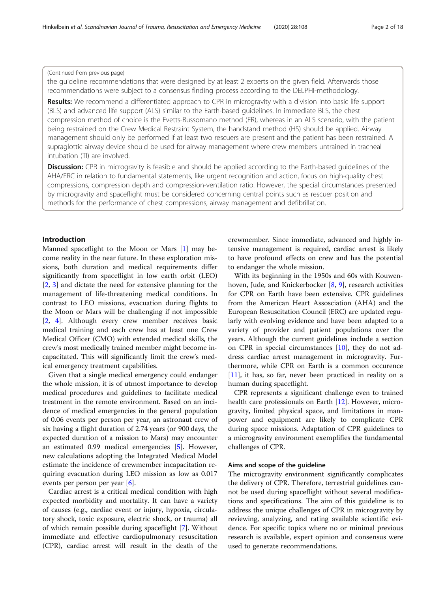## (Continued from previous page)

the guideline recommendations that were designed by at least 2 experts on the given field. Afterwards those recommendations were subject to a consensus finding process according to the DELPHI-methodology.

Results: We recommend a differentiated approach to CPR in microgravity with a division into basic life support (BLS) and advanced life support (ALS) similar to the Earth-based guidelines. In immediate BLS, the chest compression method of choice is the Evetts-Russomano method (ER), whereas in an ALS scenario, with the patient being restrained on the Crew Medical Restraint System, the handstand method (HS) should be applied. Airway management should only be performed if at least two rescuers are present and the patient has been restrained. A supraglottic airway device should be used for airway management where crew members untrained in tracheal intubation (TI) are involved.

**Discussion:** CPR in microgravity is feasible and should be applied according to the Earth-based guidelines of the AHA/ERC in relation to fundamental statements, like urgent recognition and action, focus on high-quality chest compressions, compression depth and compression-ventilation ratio. However, the special circumstances presented by microgravity and spaceflight must be considered concerning central points such as rescuer position and methods for the performance of chest compressions, airway management and defibrillation.

## Introduction

Manned spaceflight to the Moon or Mars [[1\]](#page-14-0) may become reality in the near future. In these exploration missions, both duration and medical requirements differ significantly from spaceflight in low earth orbit (LEO) [[2,](#page-14-0) [3](#page-14-0)] and dictate the need for extensive planning for the management of life-threatening medical conditions. In contrast to LEO missions, evacuation during flights to the Moon or Mars will be challenging if not impossible [[2,](#page-14-0) [4\]](#page-14-0). Although every crew member receives basic medical training and each crew has at least one Crew Medical Officer (CMO) with extended medical skills, the crew's most medically trained member might become incapacitated. This will significantly limit the crew's medical emergency treatment capabilities.

Given that a single medical emergency could endanger the whole mission, it is of utmost importance to develop medical procedures and guidelines to facilitate medical treatment in the remote environment. Based on an incidence of medical emergencies in the general population of 0.06 events per person per year, an astronaut crew of six having a flight duration of 2.74 years (or 900 days, the expected duration of a mission to Mars) may encounter an estimated 0.99 medical emergencies [[5\]](#page-14-0). However, new calculations adopting the Integrated Medical Model estimate the incidence of crewmember incapacitation requiring evacuation during LEO mission as low as 0.017 events per person per year [\[6](#page-14-0)].

Cardiac arrest is a critical medical condition with high expected morbidity and mortality. It can have a variety of causes (e.g., cardiac event or injury, hypoxia, circulatory shock, toxic exposure, electric shock, or trauma) all of which remain possible during spaceflight [[7\]](#page-14-0). Without immediate and effective cardiopulmonary resuscitation (CPR), cardiac arrest will result in the death of the crewmember. Since immediate, advanced and highly intensive management is required, cardiac arrest is likely to have profound effects on crew and has the potential to endanger the whole mission.

With its beginning in the 1950s and 60s with Kouwenhoven, Jude, and Knickerbocker [\[8](#page-14-0), [9](#page-14-0)], research activities for CPR on Earth have been extensive. CPR guidelines from the American Heart Assosciation (AHA) and the European Resuscitation Council (ERC) are updated regularly with evolving evidence and have been adapted to a variety of provider and patient populations over the years. Although the current guidelines include a section on CPR in special circumstances [[10](#page-14-0)], they do not address cardiac arrest management in microgravity. Furthermore, while CPR on Earth is a common occurence [[11\]](#page-14-0), it has, so far, never been practiced in reality on a human during spaceflight.

CPR represents a significant challenge even to trained health care professionals on Earth [[12\]](#page-14-0). However, microgravity, limited physical space, and limitations in manpower and equipment are likely to complicate CPR during space missions. Adaptation of CPR guidelines to a microgravity environment exemplifies the fundamental challenges of CPR.

## Aims and scope of the guideline

The microgravity environment significantly complicates the delivery of CPR. Therefore, terrestrial guidelines cannot be used during spaceflight without several modifications and specifications. The aim of this guideline is to address the unique challenges of CPR in microgravity by reviewing, analyzing, and rating available scientific evidence. For specific topics where no or minimal previous research is available, expert opinion and consensus were used to generate recommendations.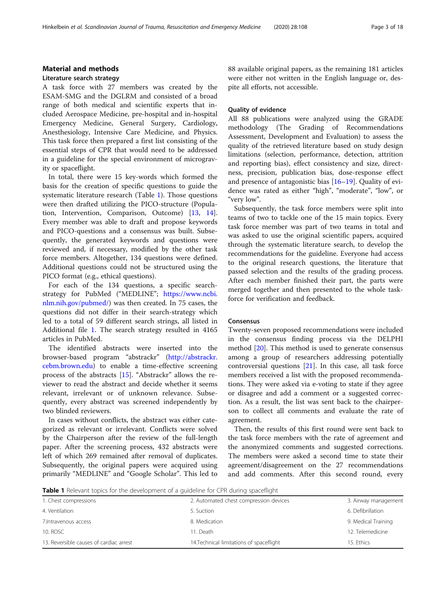## Material and methods

## Literature search strategy

A task force with 27 members was created by the ESAM-SMG and the DGLRM and consisted of a broad range of both medical and scientific experts that included Aerospace Medicine, pre-hospital and in-hospital Emergency Medicine, General Surgery, Cardiology, Anesthesiology, Intensive Care Medicine, and Physics. This task force then prepared a first list consisting of the essential steps of CPR that would need to be addressed in a guideline for the special environment of microgravity or spaceflight.

In total, there were 15 key-words which formed the basis for the creation of specific questions to guide the systematic literature research (Table 1). Those questions were then drafted utilizing the PICO-structure (Population, Intervention, Comparison, Outcome) [[13](#page-14-0), [14](#page-14-0)]. Every member was able to draft and propose keywords and PICO-questions and a consensus was built. Subsequently, the generated keywords and questions were reviewed and, if necessary, modified by the other task force members. Altogether, 134 questions were defined. Additional questions could not be structured using the PICO format (e.g., ethical questions).

For each of the 134 questions, a specific searchstrategy for PubMed ("MEDLINE"; [https://www.ncbi.](https://www.ncbi.nlm.nih.gov/pubmed/) [nlm.nih.gov/pubmed/](https://www.ncbi.nlm.nih.gov/pubmed/)) was then created. In 75 cases, the questions did not differ in their search-strategy which led to a total of 59 different search strings, all listed in Additional file [1](#page-13-0). The search strategy resulted in 4165 articles in PubMed.

The identified abstracts were inserted into the browser-based program "abstrackr" ([http://abstrackr.](http://abstrackr.cebm.brown.edu) [cebm.brown.edu](http://abstrackr.cebm.brown.edu)) to enable a time-effective screening process of the abstracts [[15\]](#page-14-0). "Abstrackr" allows the reviewer to read the abstract and decide whether it seems relevant, irrelevant or of unknown relevance. Subsequently, every abstract was screened independently by two blinded reviewers.

In cases without conflicts, the abstract was either categorized as relevant or irrelevant. Conflicts were solved by the Chairperson after the review of the full-length paper. After the screening process, 432 abstracts were left of which 269 remained after removal of duplicates. Subsequently, the original papers were acquired using primarily "MEDLINE" and "Google Scholar". This led to 88 available original papers, as the remaining 181 articles were either not written in the English language or, despite all efforts, not accessible.

## Quality of evidence

All 88 publications were analyzed using the GRADE methodology (The Grading of Recommendations Assessment, Development and Evaluation) to assess the quality of the retrieved literature based on study design limitations (selection, performance, detection, attrition and reporting bias), effect consistency and size, directness, precision, publication bias, dose-response effect and presence of antagonistic bias [[16](#page-14-0)–[19\]](#page-14-0). Quality of evidence was rated as either "high", "moderate", "low", or "very low".

Subsequently, the task force members were split into teams of two to tackle one of the 15 main topics. Every task force member was part of two teams in total and was asked to use the original scientific papers, acquired through the systematic literature search, to develop the recommendations for the guideline. Everyone had access to the original research questions, the literature that passed selection and the results of the grading process. After each member finished their part, the parts were merged together and then presented to the whole taskforce for verification and feedback.

## Consensus

Twenty-seven proposed recommendations were included in the consensus finding process via the DELPHI method [\[20](#page-14-0)]. This method is used to generate consensus among a group of researchers addressing potentially controversial questions  $[21]$ . In this case, all task force members received a list with the proposed recommendations. They were asked via e-voting to state if they agree or disagree and add a comment or a suggested correction. As a result, the list was sent back to the chairperson to collect all comments and evaluate the rate of agreement.

Then, the results of this first round were sent back to the task force members with the rate of agreement and the anonymized comments and suggested corrections. The members were asked a second time to state their agreement/disagreement on the 27 recommendations and add comments. After this second round, every

**Table 1** Relevant topics for the development of a quideline for CPR during spaceflight

| 2. Automated chest compression devices   | 3. Airway management |
|------------------------------------------|----------------------|
| 5. Suction                               | 6. Defibrillation    |
| 8. Medication                            | 9. Medical Training  |
| 11. Death                                | 12. Telemedicine     |
| 14. Technical limitations of spaceflight | 15. Ethics           |
|                                          |                      |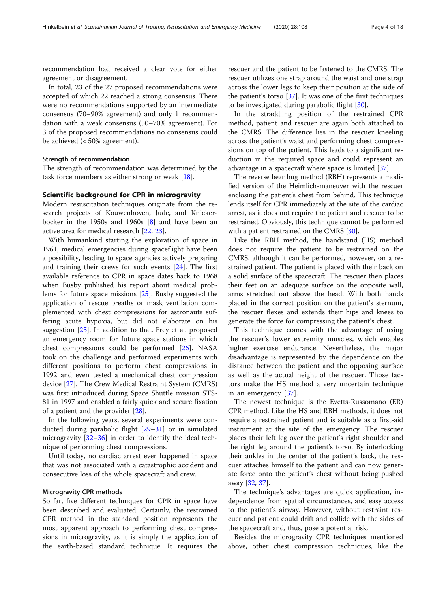recommendation had received a clear vote for either agreement or disagreement.

In total, 23 of the 27 proposed recommendations were accepted of which 22 reached a strong consensus. There were no recommendations supported by an intermediate consensus (70–90% agreement) and only 1 recommendation with a weak consensus (50–70% agreement). For 3 of the proposed recommendations no consensus could be achieved (< 50% agreement).

#### Strength of recommendation

The strength of recommendation was determined by the task force members as either strong or weak [[18\]](#page-14-0).

## Scientific background for CPR in microgravity

Modern resuscitation techniques originate from the research projects of Kouwenhoven, Jude, and Knickerbocker in the 1950s and 1960s [[8\]](#page-14-0) and have been an active area for medical research [\[22](#page-14-0), [23\]](#page-14-0).

With humankind starting the exploration of space in 1961, medical emergencies during spaceflight have been a possibility, leading to space agencies actively preparing and training their crews for such events [[24](#page-14-0)]. The first available reference to CPR in space dates back to 1968 when Busby published his report about medical problems for future space missions [[25\]](#page-14-0). Busby suggested the application of rescue breaths or mask ventilation complemented with chest compressions for astronauts suffering acute hypoxia, but did not elaborate on his suggestion [\[25](#page-14-0)]. In addition to that, Frey et al. proposed an emergency room for future space stations in which chest compressions could be performed [[26\]](#page-14-0). NASA took on the challenge and performed experiments with different positions to perform chest compressions in 1992 and even tested a mechanical chest compression device [\[27](#page-14-0)]. The Crew Medical Restraint System (CMRS) was first introduced during Space Shuttle mission STS-81 in 1997 and enabled a fairly quick and secure fixation of a patient and the provider [\[28](#page-14-0)].

In the following years, several experiments were conducted during parabolic flight [[29](#page-14-0)–[31](#page-14-0)] or in simulated microgravity [[32](#page-14-0)–[36](#page-15-0)] in order to identify the ideal technique of performing chest compressions.

Until today, no cardiac arrest ever happened in space that was not associated with a catastrophic accident and consecutive loss of the whole spacecraft and crew.

#### Microgravity CPR methods

So far, five different techniques for CPR in space have been described and evaluated. Certainly, the restrained CPR method in the standard position represents the most apparent approach to performing chest compressions in microgravity, as it is simply the application of the earth-based standard technique. It requires the rescuer and the patient to be fastened to the CMRS. The rescuer utilizes one strap around the waist and one strap across the lower legs to keep their position at the side of the patient's torso  $[37]$  $[37]$ . It was one of the first techniques to be investigated during parabolic flight [\[30\]](#page-14-0).

In the straddling position of the restrained CPR method, patient and rescuer are again both attached to the CMRS. The difference lies in the rescuer kneeling across the patient's waist and performing chest compressions on top of the patient. This leads to a significant reduction in the required space and could represent an advantage in a spacecraft where space is limited [[37\]](#page-15-0).

The reverse bear hug method (RBH) represents a modified version of the Heimlich-maneuver with the rescuer enclosing the patient's chest from behind. This technique lends itself for CPR immediately at the site of the cardiac arrest, as it does not require the patient and rescuer to be restrained. Obviously, this technique cannot be performed with a patient restrained on the CMRS [\[30\]](#page-14-0).

Like the RBH method, the handstand (HS) method does not require the patient to be restrained on the CMRS, although it can be performed, however, on a restrained patient. The patient is placed with their back on a solid surface of the spacecraft. The rescuer then places their feet on an adequate surface on the opposite wall, arms stretched out above the head. With both hands placed in the correct position on the patient's sternum, the rescuer flexes and extends their hips and knees to generate the force for compressing the patient's chest.

This technique comes with the advantage of using the rescuer's lower extremity muscles, which enables higher exercise endurance. Nevertheless, the major disadvantage is represented by the dependence on the distance between the patient and the opposing surface as well as the actual height of the rescuer. Those factors make the HS method a very uncertain technique in an emergency [[37\]](#page-15-0).

The newest technique is the Evetts-Russomano (ER) CPR method. Like the HS and RBH methods, it does not require a restrained patient and is suitable as a first-aid instrument at the site of the emergency. The rescuer places their left leg over the patient's right shoulder and the right leg around the patient's torso. By interlocking their ankles in the center of the patient's back, the rescuer attaches himself to the patient and can now generate force onto the patient's chest without being pushed away [[32,](#page-14-0) [37\]](#page-15-0).

The technique's advantages are quick application, independence from spatial circumstances, and easy access to the patient's airway. However, without restraint rescuer and patient could drift and collide with the sides of the spacecraft and, thus, pose a potential risk.

Besides the microgravity CPR techniques mentioned above, other chest compression techniques, like the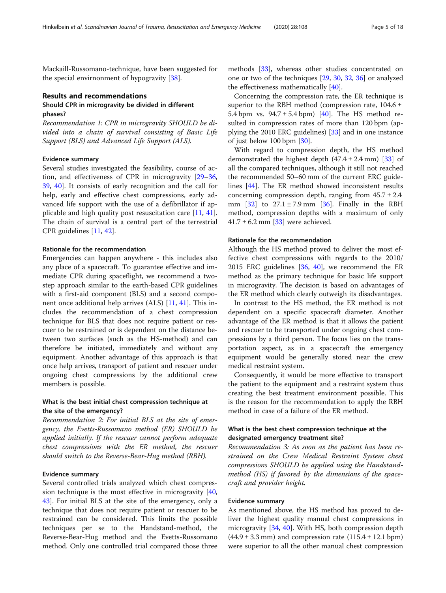Mackaill-Russomano-technique, have been suggested for the special envirnonment of hypogravity [[38\]](#page-15-0).

#### Results and recommendations

## Should CPR in microgravity be divided in different phases?

Recommendation 1: CPR in microgravity SHOULD be divided into a chain of survival consisting of Basic Life Support (BLS) and Advanced Life Support (ALS).

#### Evidence summary

Several studies investigated the feasibility, course of action, and effectiveness of CPR in microgravity [[29](#page-14-0)–[36](#page-15-0), [39,](#page-15-0) [40\]](#page-15-0). It consists of early recognition and the call for help, early and effective chest compressions, early advanced life support with the use of a defibrillator if applicable and high quality post resuscitation care [\[11](#page-14-0), [41](#page-15-0)]. The chain of survival is a central part of the terrestrial CPR guidelines [[11,](#page-14-0) [42\]](#page-15-0).

#### Rationale for the recommendation

Emergencies can happen anywhere - this includes also any place of a spacecraft. To guarantee effective and immediate CPR during spaceflight, we recommend a twostep approach similar to the earth-based CPR guidelines with a first-aid component (BLS) and a second component once additional help arrives (ALS) [[11](#page-14-0), [41](#page-15-0)]. This includes the recommendation of a chest compression technique for BLS that does not require patient or rescuer to be restrained or is dependent on the distance between two surfaces (such as the HS-method) and can therefore be initiated, immediately and without any equipment. Another advantage of this approach is that once help arrives, transport of patient and rescuer under ongoing chest compressions by the additional crew members is possible.

## What is the best initial chest compression technique at the site of the emergency?

Recommendation 2: For initial BLS at the site of emergency, the Evetts-Russomano method (ER) SHOULD be applied initially. If the rescuer cannot perform adequate chest compressions with the ER method, the rescuer should switch to the Reverse-Bear-Hug method (RBH).

#### Evidence summary

Several controlled trials analyzed which chest compression technique is the most effective in microgravity [[40](#page-15-0), [43\]](#page-15-0). For initial BLS at the site of the emergency, only a technique that does not require patient or rescuer to be restrained can be considered. This limits the possible techniques per se to the Handstand-method, the Reverse-Bear-Hug method and the Evetts-Russomano method. Only one controlled trial compared those three methods [[33\]](#page-14-0), whereas other studies concentrated on one or two of the techniques [\[29](#page-14-0), [30](#page-14-0), [32](#page-14-0), [36](#page-15-0)] or analyzed the effectiveness mathematically [[40](#page-15-0)].

Concerning the compression rate, the ER technique is superior to the RBH method (compression rate,  $104.6 \pm$ 5.4 bpm vs.  $94.7 \pm 5.4$  bpm) [\[40](#page-15-0)]. The HS method resulted in compression rates of more than 120 bpm (applying the 2010 ERC guidelines) [\[33](#page-14-0)] and in one instance of just below 100 bpm [[30](#page-14-0)].

With regard to compression depth, the HS method demonstrated the highest depth  $(47.4 \pm 2.4 \text{ mm})$  [\[33](#page-14-0)] of all the compared techniques, although it still not reached the recommended 50–60 mm of the current ERC guidelines [\[44\]](#page-15-0). The ER method showed inconsistent results concerning compression depth, ranging from  $45.7 \pm 2.4$ mm  $[32]$  $[32]$  $[32]$  to  $27.1 \pm 7.9$  mm  $[36]$  $[36]$ . Finally in the RBH method, compression depths with a maximum of only  $41.7 \pm 6.2$  mm [ $33$ ] were achieved.

#### Rationale for the recommendation

Although the HS method proved to deliver the most effective chest compressions with regards to the 2010/ 2015 ERC guidelines [[36,](#page-15-0) [40](#page-15-0)], we recommend the ER method as the primary technique for basic life support in microgravity. The decision is based on advantages of the ER method which clearly outweigh its disadvantages.

In contrast to the HS method, the ER method is not dependent on a specific spacecraft diameter. Another advantage of the ER method is that it allows the patient and rescuer to be transported under ongoing chest compressions by a third person. The focus lies on the transportation aspect, as in a spacecraft the emergency equipment would be generally stored near the crew medical restraint system.

Consequently, it would be more effective to transport the patient to the equipment and a restraint system thus creating the best treatment environment possible. This is the reason for the recommendation to apply the RBH method in case of a failure of the ER method.

## What is the best chest compression technique at the designated emergency treatment site?

Recommendation 3: As soon as the patient has been restrained on the Crew Medical Restraint System chest compressions SHOULD be applied using the Handstandmethod (HS) if favored by the dimensions of the spacecraft and provider height.

## Evidence summary

As mentioned above, the HS method has proved to deliver the highest quality manual chest compressions in microgravity [\[34](#page-14-0), [40\]](#page-15-0). With HS, both compression depth  $(44.9 \pm 3.3 \text{ mm})$  and compression rate  $(115.4 \pm 12.1 \text{ bpm})$ were superior to all the other manual chest compression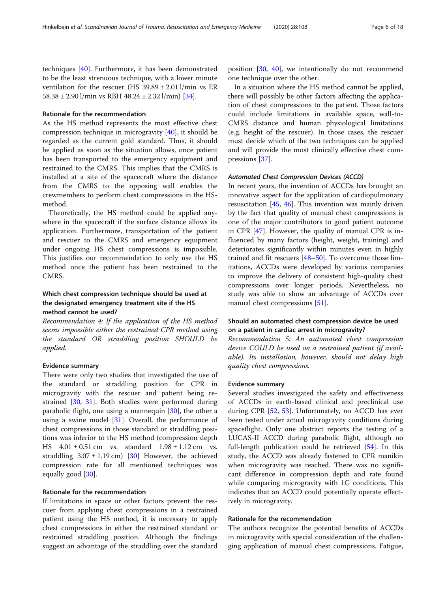techniques [[40](#page-15-0)]. Furthermore, it has been demonstrated to be the least strenuous technique, with a lower minute ventilation for the rescuer (HS 39.89 ± 2.01 l/min vs ER  $58.38 \pm 2.90$  l/min vs RBH  $48.24 \pm 2.32$  l/min) [[34](#page-14-0)].

#### Rationale for the recommendation

As the HS method represents the most effective chest compression technique in microgravity [\[40](#page-15-0)], it should be regarded as the current gold standard. Thus, it should be applied as soon as the situation allows, once patient has been transported to the emergency equipment and restrained to the CMRS. This implies that the CMRS is installed at a site of the spacecraft where the distance from the CMRS to the opposing wall enables the crewmembers to perform chest compressions in the HSmethod.

Theoretically, the HS method could be applied anywhere in the spacecraft if the surface distance allows its application. Furthermore, transportation of the patient and rescuer to the CMRS and emergency equipment under ongoing HS chest compressions is impossible. This justifies our recommendation to only use the HS method once the patient has been restrained to the CMRS.

## Which chest compression technique should be used at the designated emergency treatment site if the HS method cannot be used?

Recommendation 4: If the application of the HS method seems impossible either the restrained CPR method using the standard OR straddling position SHOULD be applied.

## Evidence summary

There were only two studies that investigated the use of the standard or straddling position for CPR in microgravity with the rescuer and patient being restrained [\[30](#page-14-0), [31](#page-14-0)]. Both studies were performed during parabolic flight, one using a mannequin [[30\]](#page-14-0), the other a using a swine model  $[31]$  $[31]$ . Overall, the performance of chest compressions in those standard or straddling positions was inferior to the HS method (compression depth HS 4.01 ± 0.51 cm vs. standard 1.98 ± 1.12 cm vs. straddling  $3.07 \pm 1.19 \text{ cm}$  [\[30](#page-14-0)] However, the achieved compression rate for all mentioned techniques was equally good [[30\]](#page-14-0).

## Rationale for the recommendation

If limitations in space or other factors prevent the rescuer from applying chest compressions in a restrained patient using the HS method, it is necessary to apply chest compressions in either the restrained standard or restrained straddling position. Although the findings suggest an advantage of the straddling over the standard

position [[30,](#page-14-0) [40\]](#page-15-0), we intentionally do not recommend one technique over the other.

In a situation where the HS method cannot be applied, there will possibly be other factors affecting the application of chest compressions to the patient. Those factors could include limitations in available space, wall-to-CMRS distance and human physiological limitations (e.g. height of the rescuer). In those cases, the rescuer must decide which of the two techniques can be applied and will provide the most clinically effective chest compressions [[37](#page-15-0)].

#### Automated Chest Compression Devices (ACCD)

In recent years, the invention of ACCDs has brought an innovative aspect for the application of cardiopulmonary resuscitation [\[45](#page-15-0), [46](#page-15-0)]. This invention was mainly driven by the fact that quality of manual chest compressions is one of the major contributors to good patient outcome in CPR [\[47](#page-15-0)]. However, the quality of manual CPR is influenced by many factors (height, weight, training) and deteriorates significantly within minutes even in highly trained and fit rescuers [[48](#page-15-0)–[50](#page-15-0)]. To overcome those limitations, ACCDs were developed by various companies to improve the delivery of consistent high-quality chest compressions over longer periods. Nevertheless, no study was able to show an advantage of ACCDs over manual chest compressions [\[51](#page-15-0)].

## Should an automated chest compression device be used on a patient in cardiac arrest in microgravity?

Recommendation 5: An automated chest compression device COULD be used on a restrained patient (if available). Its installation, however, should not delay high quality chest compressions.

## Evidence summary

Several studies investigated the safety and effectiveness of ACCDs in earth-based clinical and preclinical use during CPR [[52,](#page-15-0) [53](#page-15-0)]. Unfortunately, no ACCD has ever been tested under actual microgravity conditions during spaceflight. Only one abstract reports the testing of a LUCAS-II ACCD during parabolic flight, although no full-length publication could be retrieved [[54\]](#page-15-0). In this study, the ACCD was already fastened to CPR manikin when microgravity was reached. There was no significant difference in compression depth and rate found while comparing microgravity with 1G conditions. This indicates that an ACCD could potentially operate effectively in microgravity.

## Rationale for the recommendation

The authors recognize the potential benefits of ACCDs in microgravity with special consideration of the challenging application of manual chest compressions. Fatigue,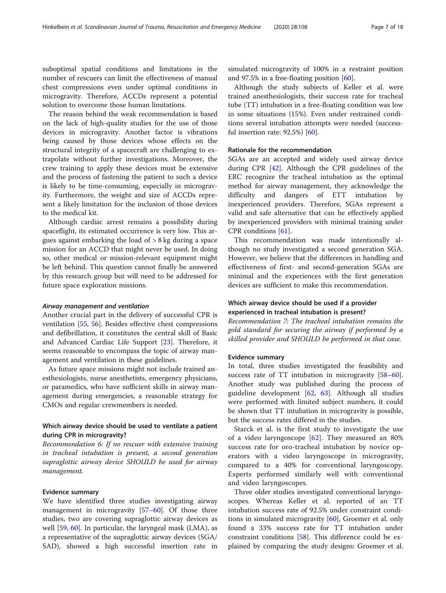suboptimal spatial conditions and limitations in the number of rescuers can limit the effectiveness of manual chest compressions even under optimal conditions in microgravity. Therefore, ACCDs represent a potential solution to overcome those human limitations.

The reason behind the weak recommendation is based on the lack of high-quality studies for the use of those devices in microgravity. Another factor is vibrations being caused by those devices whose effects on the structural integrity of a spacecraft are challenging to extrapolate without further investigations. Moreover, the crew training to apply these devices must be extensive and the process of fastening the patient to such a device is likely to be time-consuming, especially in microgravity. Furthermore, the weight and size of ACCDs represent a likely limitation for the inclusion of those devices to the medical kit.

Although cardiac arrest remains a possibility during spaceflight, its estimated occurrence is very low. This argues against embarking the load of > 8 kg during a space mission for an ACCD that might never be used. In doing so, other medical or mission-relevant equipment might be left behind. This question cannot finally be answered by this research group but will need to be addressed for future space exploration missions.

## Airway management and ventilation

Another crucial part in the delivery of successful CPR is ventilation [[55](#page-15-0), [56\]](#page-15-0). Besides effective chest compressions and defibrillation, it constitutes the central skill of Basic and Advanced Cardiac Life Support [[23\]](#page-14-0). Therefore, it seems reasonable to encompass the topic of airway management and ventilation in these guidelines.

As future space missions might not include trained anesthesiologists, nurse anesthetists, emergency physicians, or paramedics, who have sufficient skills in airway management during emergencies, a reasonable strategy for CMOs and regular crewmembers is needed.

## Which airway device should be used to ventilate a patient during CPR in microgravity?

Recommendation 6: If no rescuer with extensive training in tracheal intubation is present, a second generation supraglottic airway device SHOULD be used for airway management.

#### Evidence summary

We have identified three studies investigating airway management in microgravity [\[57](#page-15-0)–[60\]](#page-15-0). Of those three studies, two are covering supraglottic airway devices as well [\[59](#page-15-0), [60](#page-15-0)]. In particular, the laryngeal mask (LMA), as a representative of the supraglottic airway devices (SGA/ SAD), showed a high successful insertion rate in

simulated microgravity of 100% in a restraint position and 97.5% in a free-floating position [\[60](#page-15-0)].

Although the study subjects of Keller et al. were trained anesthesiologists, their success rate for tracheal tube (TT) intubation in a free-floating condition was low in some situations (15%). Even under restrained conditions several intubation attempts were needed (successful insertion rate:  $92.5\%$  [\[60\]](#page-15-0).

## Rationale for the recommendation

SGAs are an accepted and widely used airway device during CPR [[42\]](#page-15-0). Although the CPR guidelines of the ERC recognize the tracheal intubation as the optimal method for airway management, they acknowledge the difficulty and dangers of ETT intubation by inexperienced providers. Therefore, SGAs represent a valid and safe alternative that can be effectively applied by inexperienced providers with minimal training under CPR conditions [[61\]](#page-15-0).

This recommendation was made intentionally although no study investigated a second generation SGA. However, we believe that the differences in handling and effectiveness of first- and second-generation SGAs are minimal and the experiences with the first generation devices are sufficient to make this recommendation.

## Which airway device should be used if a provider experienced in tracheal intubation is present?

Recommendation 7: The tracheal intubation remains the gold standard for securing the airway if performed by a skilled provider and SHOULD be performed in that case.

## Evidence summary

In total, three studies investigated the feasibility and success rate of TT intubation in microgravity [[58](#page-15-0)–[60](#page-15-0)]. Another study was published during the process of guideline development [\[62,](#page-15-0) [63](#page-15-0)]. Although all studies were performed with limited subject numbers, it could be shown that TT intubation in microgravity is possible, but the success rates differed in the studies.

Starck et al. is the first study to investigate the use of a video laryngoscope [[62](#page-15-0)]. They measured an 80% success rate for oro-tracheal intubation by novice operators with a video laryngoscope in microgravity, compared to a 40% for conventional laryngoscopy. Experts performed similarly well with conventional and video laryngoscopes.

Three older studies investigated conventional laryngoscopes. Whereas Keller et al. reported of an TT intubation success rate of 92.5% under constraint conditions in simulated microgravity [[60\]](#page-15-0), Groemer et al. only found a 33% success rate for TT intubation under constraint conditions [[58\]](#page-15-0). This difference could be explained by comparing the study designs: Groemer et al.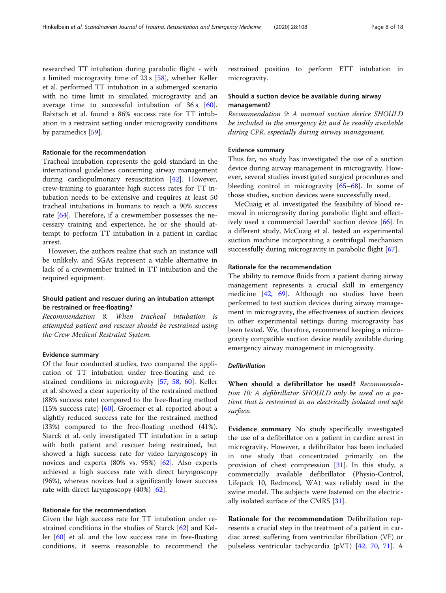researched TT intubation during parabolic flight - with a limited microgravity time of 23 s [\[58\]](#page-15-0), whether Keller et al. performed TT intubation in a submerged scenario with no time limit in simulated microgravity and an average time to successful intubation of 36 s [\[60](#page-15-0)]. Rabitsch et al. found a 86% success rate for TT intubation in a restraint setting under microgravity conditions by paramedics [\[59](#page-15-0)].

## Rationale for the recommendation

Tracheal intubation represents the gold standard in the international guidelines concerning airway management during cardiopulmonary resuscitation [[42](#page-15-0)]. However, crew-training to guarantee high success rates for TT intubation needs to be extensive and requires at least 50 tracheal intubations in humans to reach a 90% success rate [\[64](#page-15-0)]. Therefore, if a crewmember possesses the necessary training and experience, he or she should attempt to perform TT intubation in a patient in cardiac arrest.

However, the authors realize that such an instance will be unlikely, and SGAs represent a viable alternative in lack of a crewmember trained in TT intubation and the required equipment.

## Should patient and rescuer during an intubation attempt be restrained or free-floating?

Recommendation 8: When tracheal intubation is attempted patient and rescuer should be restrained using the Crew Medical Restraint System.

#### Evidence summary

Of the four conducted studies, two compared the application of TT intubation under free-floating and restrained conditions in microgravity [\[57](#page-15-0), [58,](#page-15-0) [60](#page-15-0)]. Keller et al. showed a clear superiority of the restrained method (88% success rate) compared to the free-floating method (15% success rate)  $[60]$  $[60]$ . Groemer et al. reported about a slightly reduced success rate for the restrained method (33%) compared to the free-floating method (41%). Starck et al. only investigated TT intubation in a setup with both patient and rescuer being restrained, but showed a high success rate for video laryngoscopy in novices and experts (80% vs. 95%) [[62\]](#page-15-0). Also experts achieved a high success rate with direct laryngoscopy (96%), whereas novices had a significantly lower success rate with direct laryngoscopy (40%) [[62\]](#page-15-0).

## Rationale for the recommendation

Given the high success rate for TT intubation under restrained conditions in the studies of Starck [\[62](#page-15-0)] and Keller [[60\]](#page-15-0) et al. and the low success rate in free-floating conditions, it seems reasonable to recommend the

restrained position to perform ETT intubation in microgravity.

## Should a suction device be available during airway management?

Recommendation 9: A manual suction device SHOULD be included in the emergency kit and be readily available during CPR, especially during airway management.

## Evidence summary

Thus far, no study has investigated the use of a suction device during airway management in microgravity. However, several studies investigated surgical procedures and bleeding control in microgravity [\[65](#page-15-0)–[68\]](#page-15-0). In some of those studies, suction devices were successfully used.

McCuaig et al. investigated the feasibility of blood removal in microgravity during parabolic flight and effectively used a commercial Laerdal® suction device [\[66\]](#page-15-0). In a different study, McCuaig et al. tested an experimental suction machine incorporating a centrifugal mechanism successfully during microgravity in parabolic flight [[67\]](#page-15-0).

#### Rationale for the recommendation

The ability to remove fluids from a patient during airway management represents a crucial skill in emergency medicine [\[42](#page-15-0), [69](#page-15-0)]. Although no studies have been performed to test suction devices during airway management in microgravity, the effectiveness of suction devices in other experimental settings during microgravity has been tested. We, therefore, recommend keeping a microgravity compatible suction device readily available during emergency airway management in microgravity.

## Defibrillation

When should a defibrillator be used? Recommendation 10: A defibrillator SHOULD only be used on a patient that is restrained to an electrically isolated and safe surface.

Evidence summary No study specifically investigated the use of a defibrillator on a patient in cardiac arrest in microgravity. However, a defibrillator has been included in one study that concentrated primarily on the provision of chest compression [[31\]](#page-14-0). In this study, a commercially available defibrillator (Physio-Control, Lifepack 10, Redmond, WA) was reliably used in the swine model. The subjects were fastened on the electrically isolated surface of the CMRS [\[31\]](#page-14-0).

Rationale for the recommendation Defibrillation represents a crucial step in the treatment of a patient in cardiac arrest suffering from ventricular fibrillation (VF) or pulseless ventricular tachycardia (pVT) [\[42,](#page-15-0) [70,](#page-15-0) [71\]](#page-15-0). A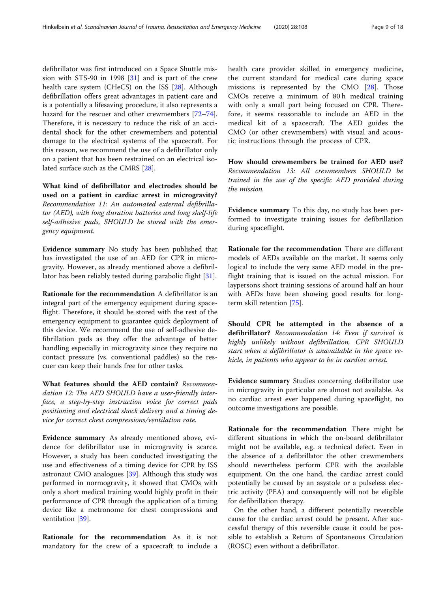defibrillator was first introduced on a Space Shuttle mission with STS-90 in 1998 [[31\]](#page-14-0) and is part of the crew health care system (CHeCS) on the ISS [[28\]](#page-14-0). Although defibrillation offers great advantages in patient care and is a potentially a lifesaving procedure, it also represents a hazard for the rescuer and other crewmembers [[72](#page-16-0)–[74](#page-16-0)]. Therefore, it is necessary to reduce the risk of an accidental shock for the other crewmembers and potential damage to the electrical systems of the spacecraft. For this reason, we recommend the use of a defibrillator only on a patient that has been restrained on an electrical isolated surface such as the CMRS [[28\]](#page-14-0).

What kind of defibrillator and electrodes should be used on a patient in cardiac arrest in microgravity? Recommendation 11: An automated external defibrillator (AED), with long duration batteries and long shelf-life self-adhesive pads, SHOULD be stored with the emergency equipment.

Evidence summary No study has been published that has investigated the use of an AED for CPR in microgravity. However, as already mentioned above a defibrillator has been reliably tested during parabolic flight [\[31](#page-14-0)].

Rationale for the recommendation A defibrillator is an integral part of the emergency equipment during spaceflight. Therefore, it should be stored with the rest of the emergency equipment to guarantee quick deployment of this device. We recommend the use of self-adhesive defibrillation pads as they offer the advantage of better handling especially in microgravity since they require no contact pressure (vs. conventional paddles) so the rescuer can keep their hands free for other tasks.

What features should the AED contain? Recommendation 12: The AED SHOULD have a user-friendly interface, a step-by-step instruction voice for correct pads positioning and electrical shock delivery and a timing device for correct chest compressions/ventilation rate.

Evidence summary As already mentioned above, evidence for defibrillator use in microgravity is scarce. However, a study has been conducted investigating the use and effectiveness of a timing device for CPR by ISS astronaut CMO analogues [[39\]](#page-15-0). Although this study was performed in normogravity, it showed that CMOs with only a short medical training would highly profit in their performance of CPR through the application of a timing device like a metronome for chest compressions and ventilation [\[39\]](#page-15-0).

Rationale for the recommendation As it is not mandatory for the crew of a spacecraft to include a health care provider skilled in emergency medicine, the current standard for medical care during space missions is represented by the CMO [\[28](#page-14-0)]. Those CMOs receive a minimum of 80 h medical training with only a small part being focused on CPR. Therefore, it seems reasonable to include an AED in the medical kit of a spacecraft. The AED guides the CMO (or other crewmembers) with visual and acoustic instructions through the process of CPR.

How should crewmembers be trained for AED use? Recommendation 13: All crewmembers SHOULD be trained in the use of the specific AED provided during the mission.

Evidence summary To this day, no study has been performed to investigate training issues for defibrillation during spaceflight.

Rationale for the recommendation There are different models of AEDs available on the market. It seems only logical to include the very same AED model in the preflight training that is issued on the actual mission. For laypersons short training sessions of around half an hour with AEDs have been showing good results for longterm skill retention [[75\]](#page-16-0).

Should CPR be attempted in the absence of a defibrillator? Recommendation 14: Even if survival is highly unlikely without defibrillation, CPR SHOULD start when a defibrillator is unavailable in the space vehicle, in patients who appear to be in cardiac arrest.

Evidence summary Studies concerning defibrillator use in microgravity in particular are almost not available. As no cardiac arrest ever happened during spaceflight, no outcome investigations are possible.

Rationale for the recommendation There might be different situations in which the on-board defibrillator might not be available, e.g. a technical defect. Even in the absence of a defibrillator the other crewmembers should nevertheless perform CPR with the available equipment. On the one hand, the cardiac arrest could potentially be caused by an asystole or a pulseless electric activity (PEA) and consequently will not be eligible for defibrillation therapy.

On the other hand, a different potentially reversible cause for the cardiac arrest could be present. After successful therapy of this reversible cause it could be possible to establish a Return of Spontaneous Circulation (ROSC) even without a defibrillator.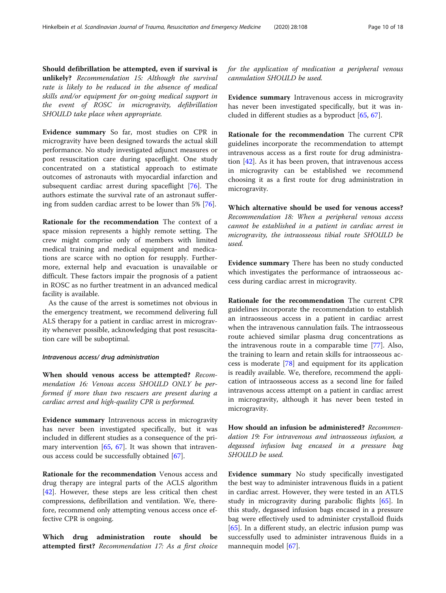Should defibrillation be attempted, even if survival is unlikely? Recommendation 15: Although the survival rate is likely to be reduced in the absence of medical skills and/or equipment for on-going medical support in the event of ROSC in microgravity, defibrillation SHOULD take place when appropriate.

Evidence summary So far, most studies on CPR in microgravity have been designed towards the actual skill performance. No study investigated adjunct measures or post resuscitation care during spaceflight. One study concentrated on a statistical approach to estimate outcomes of astronauts with myocardial infarction and subsequent cardiac arrest during spaceflight [[76\]](#page-16-0). The authors estimate the survival rate of an astronaut suffering from sudden cardiac arrest to be lower than 5% [[76\]](#page-16-0).

Rationale for the recommendation The context of a space mission represents a highly remote setting. The crew might comprise only of members with limited medical training and medical equipment and medications are scarce with no option for resupply. Furthermore, external help and evacuation is unavailable or difficult. These factors impair the prognosis of a patient in ROSC as no further treatment in an advanced medical facility is available.

As the cause of the arrest is sometimes not obvious in the emergency treatment, we recommend delivering full ALS therapy for a patient in cardiac arrest in microgravity whenever possible, acknowledging that post resuscitation care will be suboptimal.

#### Intravenous access/ drug administration

When should venous access be attempted? Recommendation 16: Venous access SHOULD ONLY be performed if more than two rescuers are present during a cardiac arrest and high-quality CPR is performed.

Evidence summary Intravenous access in microgravity has never been investigated specifically, but it was included in different studies as a consequence of the primary intervention [\[65](#page-15-0), [67](#page-15-0)]. It was shown that intravenous access could be successfully obtained [[67\]](#page-15-0).

Rationale for the recommendation Venous access and drug therapy are integral parts of the ACLS algorithm [[42\]](#page-15-0). However, these steps are less critical then chest compressions, defibrillation and ventilation. We, therefore, recommend only attempting venous access once effective CPR is ongoing.

Which drug administration route should be attempted first? Recommendation 17: As a first choice for the application of medication a peripheral venous cannulation SHOULD be used.

Evidence summary Intravenous access in microgravity has never been investigated specifically, but it was included in different studies as a byproduct [[65](#page-15-0), [67](#page-15-0)].

Rationale for the recommendation The current CPR guidelines incorporate the recommendation to attempt intravenous access as a first route for drug administration  $[42]$  $[42]$  $[42]$ . As it has been proven, that intravenous access in microgravity can be established we recommend choosing it as a first route for drug administration in microgravity.

Which alternative should be used for venous access? Recommendation 18: When a peripheral venous access cannot be established in a patient in cardiac arrest in microgravity, the intraosseous tibial route SHOULD be used.

Evidence summary There has been no study conducted which investigates the performance of intraosseous access during cardiac arrest in microgravity.

Rationale for the recommendation The current CPR guidelines incorporate the recommendation to establish an intraosseous access in a patient in cardiac arrest when the intravenous cannulation fails. The intraosseous route achieved similar plasma drug concentrations as the intravenous route in a comparable time [[77](#page-16-0)]. Also, the training to learn and retain skills for intraosseous access is moderate [[78\]](#page-16-0) and equipment for its application is readily available. We, therefore, recommend the application of intraosseous access as a second line for failed intravenous access attempt on a patient in cardiac arrest in microgravity, although it has never been tested in microgravity.

How should an infusion be administered? Recommendation 19: For intravenous and intraosseous infusion, a degassed infusion bag encased in a pressure bag SHOULD be used.

Evidence summary No study specifically investigated the best way to administer intravenous fluids in a patient in cardiac arrest. However, they were tested in an ATLS study in microgravity during parabolic flights [[65](#page-15-0)]. In this study, degassed infusion bags encased in a pressure bag were effectively used to administer crystalloid fluids [[65\]](#page-15-0). In a different study, an electric infusion pump was successfully used to administer intravenous fluids in a mannequin model [[67](#page-15-0)].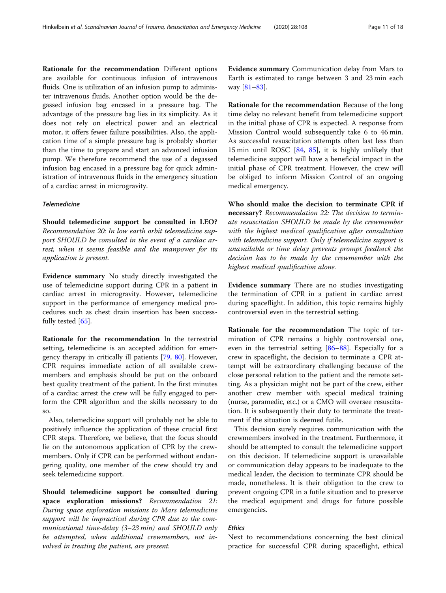Rationale for the recommendation Different options are available for continuous infusion of intravenous fluids. One is utilization of an infusion pump to administer intravenous fluids. Another option would be the degassed infusion bag encased in a pressure bag. The advantage of the pressure bag lies in its simplicity. As it does not rely on electrical power and an electrical motor, it offers fewer failure possibilities. Also, the application time of a simple pressure bag is probably shorter than the time to prepare and start an advanced infusion pump. We therefore recommend the use of a degassed infusion bag encased in a pressure bag for quick administration of intravenous fluids in the emergency situation of a cardiac arrest in microgravity.

## Telemedicine

Should telemedicine support be consulted in LEO? Recommendation 20: In low earth orbit telemedicine support SHOULD be consulted in the event of a cardiac arrest, when it seems feasible and the manpower for its application is present.

Evidence summary No study directly investigated the use of telemedicine support during CPR in a patient in cardiac arrest in microgravity. However, telemedicine support in the performance of emergency medical procedures such as chest drain insertion has been successfully tested [[65](#page-15-0)].

Rationale for the recommendation In the terrestrial setting, telemedicine is an accepted addition for emergency therapy in critically ill patients [[79](#page-16-0), [80\]](#page-16-0). However, CPR requires immediate action of all available crewmembers and emphasis should be put on the onboard best quality treatment of the patient. In the first minutes of a cardiac arrest the crew will be fully engaged to perform the CPR algorithm and the skills necessary to do so.

Also, telemedicine support will probably not be able to positively influence the application of these crucial first CPR steps. Therefore, we believe, that the focus should lie on the autonomous application of CPR by the crewmembers. Only if CPR can be performed without endangering quality, one member of the crew should try and seek telemedicine support.

Should telemedicine support be consulted during space exploration missions? Recommendation 21: During space exploration missions to Mars telemedicine support will be impractical during CPR due to the communicational time-delay (3–23 min) and SHOULD only be attempted, when additional crewmembers, not involved in treating the patient, are present.

Evidence summary Communication delay from Mars to Earth is estimated to range between 3 and 23 min each way [\[81](#page-16-0)–[83](#page-16-0)].

Rationale for the recommendation Because of the long time delay no relevant benefit from telemedicine support in the initial phase of CPR is expected. A response from Mission Control would subsequently take 6 to 46 min. As successful resuscitation attempts often last less than 15 min until ROSC [[84](#page-16-0), [85\]](#page-16-0), it is highly unlikely that telemedicine support will have a beneficial impact in the initial phase of CPR treatment. However, the crew will be obliged to inform Mission Control of an ongoing medical emergency.

Who should make the decision to terminate CPR if necessary? Recommendation 22: The decision to terminate resuscitation SHOULD be made by the crewmember with the highest medical qualification after consultation with telemedicine support. Only if telemedicine support is unavailable or time delay prevents prompt feedback the decision has to be made by the crewmember with the highest medical qualification alone.

Evidence summary There are no studies investigating the termination of CPR in a patient in cardiac arrest during spaceflight. In addition, this topic remains highly controversial even in the terrestrial setting.

Rationale for the recommendation The topic of termination of CPR remains a highly controversial one, even in the terrestrial setting [[86](#page-16-0)–[88](#page-16-0)]. Especially for a crew in spaceflight, the decision to terminate a CPR attempt will be extraordinary challenging because of the close personal relation to the patient and the remote setting. As a physician might not be part of the crew, either another crew member with special medical training (nurse, paramedic, etc.) or a CMO will oversee resuscitation. It is subsequently their duty to terminate the treatment if the situation is deemed futile.

This decision surely requires communication with the crewmembers involved in the treatment. Furthermore, it should be attempted to consult the telemedicine support on this decision. If telemedicine support is unavailable or communication delay appears to be inadequate to the medical leader, the decision to terminate CPR should be made, nonetheless. It is their obligation to the crew to prevent ongoing CPR in a futile situation and to preserve the medical equipment and drugs for future possible emergencies.

## Ethics

Next to recommendations concerning the best clinical practice for successful CPR during spaceflight, ethical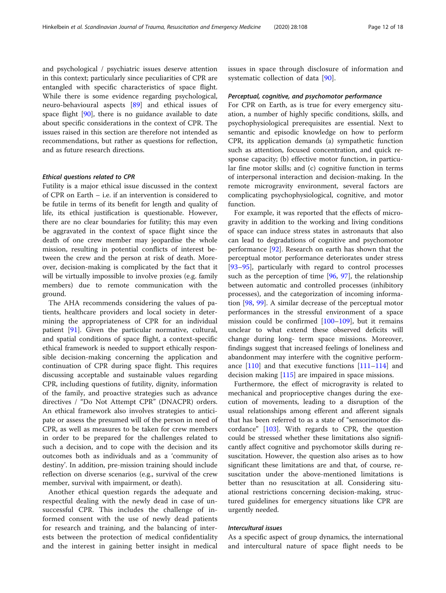and psychological / psychiatric issues deserve attention in this context; particularly since peculiarities of CPR are entangled with specific characteristics of space flight. While there is some evidence regarding psychological, neuro-behavioural aspects [\[89](#page-16-0)] and ethical issues of space flight  $[90]$  $[90]$  $[90]$ , there is no guidance available to date about specific considerations in the context of CPR. The issues raised in this section are therefore not intended as recommendations, but rather as questions for reflection, and as future research directions.

#### Ethical questions related to CPR

Futility is a major ethical issue discussed in the context of CPR on Earth – i.e. if an intervention is considered to be futile in terms of its benefit for length and quality of life, its ethical justification is questionable. However, there are no clear boundaries for futility; this may even be aggravated in the context of space flight since the death of one crew member may jeopardise the whole mission, resulting in potential conflicts of interest between the crew and the person at risk of death. Moreover, decision-making is complicated by the fact that it will be virtually impossible to involve proxies (e.g. family members) due to remote communication with the ground.

The AHA recommends considering the values of patients, healthcare providers and local society in determining the appropriateness of CPR for an individual patient [[91\]](#page-16-0). Given the particular normative, cultural, and spatial conditions of space flight, a context-specific ethical framework is needed to support ethically responsible decision-making concerning the application and continuation of CPR during space flight. This requires discussing acceptable and sustainable values regarding CPR, including questions of futility, dignity, information of the family, and proactive strategies such as advance directives / "Do Not Attempt CPR" (DNACPR) orders. An ethical framework also involves strategies to anticipate or assess the presumed will of the person in need of CPR, as well as measures to be taken for crew members in order to be prepared for the challenges related to such a decision, and to cope with the decision and its outcomes both as individuals and as a 'community of destiny'. In addition, pre-mission training should include reflection on diverse scenarios (e.g., survival of the crew member, survival with impairment, or death).

Another ethical question regards the adequate and respectful dealing with the newly dead in case of unsuccessful CPR. This includes the challenge of informed consent with the use of newly dead patients for research and training, and the balancing of interests between the protection of medical confidentiality and the interest in gaining better insight in medical

issues in space through disclosure of information and systematic collection of data [[90](#page-16-0)].

#### Perceptual, cognitive, and psychomotor performance

For CPR on Earth, as is true for every emergency situation, a number of highly specific conditions, skills, and psychophysiological prerequisites are essential. Next to semantic and episodic knowledge on how to perform CPR, its application demands (a) sympathetic function such as attention, focused concentration, and quick response capacity; (b) effective motor function, in particular fine motor skills; and (c) cognitive function in terms of interpersonal interaction and decision-making. In the remote microgravity environment, several factors are complicating psychophysiological, cognitive, and motor function.

For example, it was reported that the effects of microgravity in addition to the working and living conditions of space can induce stress states in astronauts that also can lead to degradations of cognitive and psychomotor performance [[92\]](#page-16-0). Research on earth has shown that the perceptual motor performance deteriorates under stress [[93](#page-16-0)–[95](#page-16-0)], particularly with regard to control processes such as the perception of time [\[96](#page-16-0), [97\]](#page-16-0), the relationship between automatic and controlled processes (inhibitory processes), and the categorization of incoming information [\[98](#page-16-0), [99](#page-16-0)]. A similar decrease of the perceptual motor performances in the stressful environment of a space mission could be confirmed [\[100](#page-16-0)–[109](#page-17-0)], but it remains unclear to what extend these observed deficits will change during long- term space missions. Moreover, findings suggest that increased feelings of loneliness and abandonment may interfere with the cognitive performance  $[110]$  $[110]$  and that executive functions  $[111-114]$  $[111-114]$  $[111-114]$  $[111-114]$  $[111-114]$  and decision making [\[115](#page-17-0)] are impaired in space missions.

Furthermore, the effect of microgravity is related to mechanical and proprioceptive changes during the execution of movements, leading to a disruption of the usual relationships among efferent and afferent signals that has been referred to as a state of "sensorimotor discordance" [[103](#page-16-0)]. With regards to CPR, the question could be stressed whether these limitations also significantly affect cognitive and psychomotor skills during resuscitation. However, the question also arises as to how significant these limitations are and that, of course, resuscitation under the above-mentioned limitations is better than no resuscitation at all. Considering situational restrictions concerning decision-making, structured guidelines for emergency situations like CPR are urgently needed.

## Intercultural issues

As a specific aspect of group dynamics, the international and intercultural nature of space flight needs to be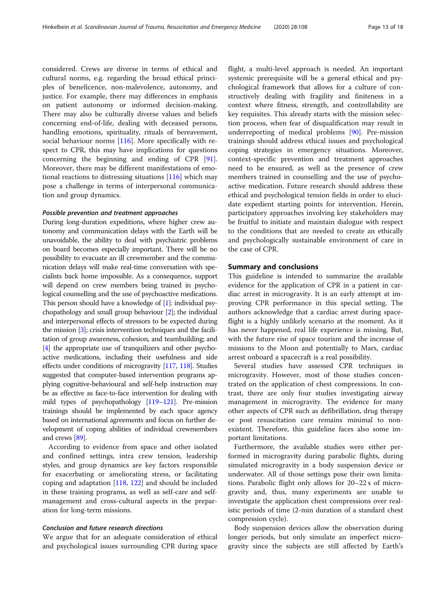considered. Crews are diverse in terms of ethical and cultural norms, e.g. regarding the broad ethical principles of beneficence, non-malevolence, autonomy, and justice. For example, there may differences in emphasis on patient autonomy or informed decision-making. There may also be culturally diverse values and beliefs concerning end-of-life, dealing with deceased persons, handling emotions, spirituality, rituals of bereavement, social behaviour norms [\[116\]](#page-17-0). More specifically with respect to CPR, this may have implications for questions concerning the beginning and ending of CPR [\[91](#page-16-0)]. Moreover, there may be different manifestations of emotional reactions to distressing situations [\[116](#page-17-0)] which may pose a challenge in terms of interpersonal communication and group dynamics.

#### Possible prevention and treatment approaches

During long-duration expeditions, where higher crew autonomy and communication delays with the Earth will be unavoidable, the ability to deal with psychiatric problems on board becomes especially important. There will be no possibility to evacuate an ill crewmember and the communication delays will make real-time conversation with specialists back home impossible. As a consequence, support will depend on crew members being trained in psychological counselling and the use of psychoactive medications. This person should have a knowledge of [[1](#page-14-0)]: individual psychopathology and small group behaviour [\[2\]](#page-14-0); the individual and interpersonal effects of stressors to be expected during the mission [\[3](#page-14-0)]; crisis intervention techniques and the facilitation of group awareness, cohesion, and teambuilding; and [[4](#page-14-0)] the appropriate use of tranquilizers and other psychoactive medications, including their usefulness and side effects under conditions of microgravity [[117,](#page-17-0) [118](#page-17-0)]. Studies suggested that computer-based intervention programs applying cognitive-behavioural and self-help instruction may be as effective as face-to-face intervention for dealing with mild types of psychopathology [\[119](#page-17-0)–[121](#page-17-0)]. Pre-mission trainings should be implemented by each space agency based on international agreements and focus on further development of coping abilities of individual crewmembers and crews [[89](#page-16-0)].

According to evidence from space and other isolated and confined settings, intra crew tension, leadership styles, and group dynamics are key factors responsible for exacerbating or ameliorating stress, or facilitating coping and adaptation [\[118,](#page-17-0) [122\]](#page-17-0) and should be included in these training programs, as well as self-care and selfmanagement and cross-cultural aspects in the preparation for long-term missions.

## Conclusion and future research directions

We argue that for an adequate consideration of ethical and psychological issues surrounding CPR during space flight, a multi-level approach is needed. An important systemic prerequisite will be a general ethical and psychological framework that allows for a culture of constructively dealing with fragility and finiteness in a context where fitness, strength, and controllability are key requisites. This already starts with the mission selection process, when fear of disqualification may result in underreporting of medical problems [\[90](#page-16-0)]. Pre-mission trainings should address ethical issues and psychological coping strategies in emergency situations. Moreover, context-specific prevention and treatment approaches need to be ensured, as well as the presence of crew members trained in counselling and the use of psychoactive medication. Future research should address these ethical and psychological tension fields in order to elucidate expedient starting points for intervention. Herein, participatory approaches involving key stakeholders may be fruitful to initiate and maintain dialogue with respect to the conditions that are needed to create an ethically and psychologically sustainable environment of care in the case of CPR.

## Summary and conclusions

This guideline is intended to summarize the available evidence for the application of CPR in a patient in cardiac arrest in microgravity. It is an early attempt at improving CPR performance in this special setting. The authors acknowledge that a cardiac arrest during spaceflight is a highly unlikely scenario at the moment. As it has never happened, real life experience is missing. But, with the future rise of space tourism and the increase of missions to the Moon and potentially to Mars, cardiac arrest onboard a spacecraft is a real possibility.

Several studies have assessed CPR techniques in microgravity. However, most of those studies concentrated on the application of chest compressions. In contrast, there are only four studies investigating airway management in microgravity. The evidence for many other aspects of CPR such as defibrillation, drug therapy or post resuscitation care remains minimal to nonexistent. Therefore, this guideline faces also some important limitations.

Furthermore, the available studies were either performed in microgravity during parabolic flights, during simulated microgravity in a body suspension device or underwater. All of those settings pose their own limitations. Parabolic flight only allows for 20–22 s of microgravity and, thus, many experiments are unable to investigate the application chest compressions over realistic periods of time (2-min duration of a standard chest compression cycle).

Body suspension devices allow the observation during longer periods, but only simulate an imperfect microgravity since the subjects are still affected by Earth's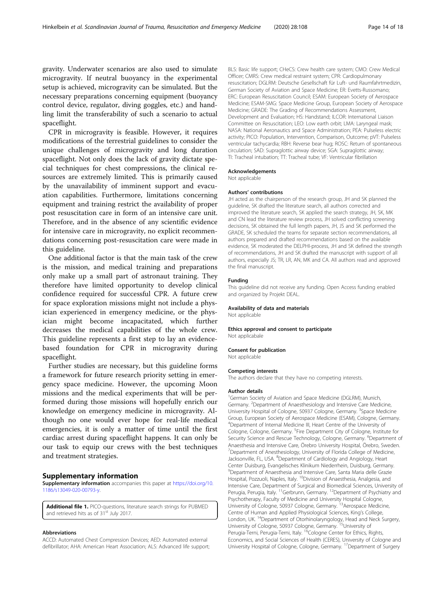<span id="page-13-0"></span>gravity. Underwater scenarios are also used to simulate microgravity. If neutral buoyancy in the experimental setup is achieved, microgravity can be simulated. But the necessary preparations concerning equipment (buoyancy control device, regulator, diving goggles, etc.) and handling limit the transferability of such a scenario to actual spaceflight.

CPR in microgravity is feasible. However, it requires modifications of the terrestrial guidelines to consider the unique challenges of microgravity and long duration spaceflight. Not only does the lack of gravity dictate special techniques for chest compressions, the clinical resources are extremely limited. This is primarily caused by the unavailability of imminent support and evacuation capabilities. Furthermore, limitations concerning equipment and training restrict the availability of proper post resuscitation care in form of an intensive care unit. Therefore, and in the absence of any scientific evidence for intensive care in microgravity, no explicit recommendations concerning post-resuscitation care were made in this guideline.

One additional factor is that the main task of the crew is the mission, and medical training and preparations only make up a small part of astronaut training. They therefore have limited opportunity to develop clinical confidence required for successful CPR. A future crew for space exploration missions might not include a physician experienced in emergency medicine, or the physician might become incapacitated, which further decreases the medical capabilities of the whole crew. This guideline represents a first step to lay an evidencebased foundation for CPR in microgravity during spaceflight.

Further studies are necessary, but this guideline forms a framework for future research priority setting in emergency space medicine. However, the upcoming Moon missions and the medical experiments that will be performed during those missions will hopefully enrich our knowledge on emergency medicine in microgravity. Although no one would ever hope for real-life medical emergencies, it is only a matter of time until the first cardiac arrest during spaceflight happens. It can only be our task to equip our crews with the best techniques and treatment strategies.

## Supplementary information

Supplementary information accompanies this paper at [https://doi.org/10.](https://doi.org/10.1186/s13049-020-00793-y) [1186/s13049-020-00793-y](https://doi.org/10.1186/s13049-020-00793-y).

Additional file 1. PICO-questions, literature search strings for PUBMED and retrieved hits as of 31<sup>st</sup> July 2017.

#### Abbreviations

ACCD: Automated Chest Compression Devices; AED: Automated external defibrillator; AHA: American Heart Association; ALS: Advanced life support; BLS: Basic life support; CHeCS: Crew health care system; CMO: Crew Medical Officer; CMRS: Crew medical restraint system; CPR: Cardiopulmonary resuscitation; DGLRM: Deutsche Gesellschaft für Luft- und Raumfahrtmedizin, German Society of Aviation and Space Medicine; ER: Evetts-Russomano; ERC: European Resuscitation Council; ESAM: European Society of Aerospace Medicine; ESAM-SMG: Space Medicine Group, European Society of Aerospace Medicine; GRADE: The Grading of Recommendations Assessment, Development and Evaluation; HS: Handstand; ILCOR: International Liaison Committee on Resuscitation; LEO: Low earth orbit; LMA: Laryngeal mask; NASA: National Aeronautics and Space Administration; PEA: Pulseless electric activity; PICO: Population, Intervention, Comparison, Outcome; pVT: Pulseless ventricular tachycardia; RBH: Reverse bear hug; ROSC: Return of spontaneous circulation; SAD: Supraglottic airway device; SGA: Supraglottic airway; TI: Tracheal intubation; TT: Tracheal tube; VF: Ventricular fibrillation

#### Acknowledgements

Not applicable

#### Authors' contributions

JH acted as the chairperson of the research group, JH and SK planned the guideline, SK drafted the literature search, all authors corrected and improved the literature search, SK applied the search strategy, JH, SK, MK and CN lead the literature review process, JH solved conflicting screening decisions, SK obtained the full length papers, JH, JS and SK performed the GRADE, SK scheduled the teams for separate section recommendations, all authors prepared and drafted recommendations based on the available evidence, SK moderated the DELPHI-process, JH and SK defined the strength of recommendations, JH and SK drafted the manuscript with support of all authors, especially JS; TR, LR, AN, MK and CA. All authors read and approved the final manuscript.

#### Funding

This guideline did not receive any funding. Open Access funding enabled and organized by Projekt DEAL.

#### Availability of data and materials

Not applicable

#### Ethics approval and consent to participate

Not applicabale

#### Consent for publication

Not applicable

# Competing interests

The authors declare that they have no competing interests.

## Author details

<sup>1</sup>German Society of Aviation and Space Medicine (DGLRM), Munich, Germany. <sup>2</sup>Department of Anaesthesiology and Intensive Care Medicine, University Hospital of Cologne, 50937 Cologne, Germany. <sup>3</sup>Space Medicine Group, European Society of Aerospace Medicine (ESAM), Cologne, Germany. 4 Department of Internal Medicine III, Heart Centre of the University of Cologne, Cologne, Germany. <sup>5</sup>Fire Department City of Cologne, Institute for Security Science and Rescue Technology, Cologne, Germany. <sup>6</sup>Department of Anaesthesia and Intensive Care, Örebro University Hospital, Örebro, Sweden. <sup>7</sup>Department of Anesthesiology, University of Florida College of Medicine Jacksonville, FL, USA. <sup>8</sup>Department of Cardiology and Angiology, Heart Center Duisburg, Evangelisches Klinikum Niederrhein, Duisburg, Germany. 9 Department of Anaesthesia and Intensive Care, Santa Maria delle Grazie Hospital, Pozzuoli, Naples, Italy. <sup>10</sup>Division of Anaesthesia, Analgesia, and Intensive Care, Department of Surgical and Biomedical Sciences, University of Perugia, Perugia, Italy. <sup>11</sup>Gerbrunn, Germany. <sup>12</sup>Department of Psychiatry and Psychotherapy, Faculty of Medicine and University Hospital Cologne,<br>University of Cologne, 50937 Cologne, Germany. <sup>13</sup>Aerospace Medicine, Centre of Human and Applied Physiological Sciences, King's College, London, UK. 14Department of Otorhinolaryngology, Head and Neck Surgery, University of Cologne, 50937 Cologne, Germany.<sup>15</sup>University of Perugia-Terni, Perugia-Terni, Italy. <sup>16</sup>Cologne Center for Ethics, Rights, Economics, and Social Sciences of Health (CERES), University of Cologne and University Hospital of Cologne, Cologne, Germany. 17Department of Surgery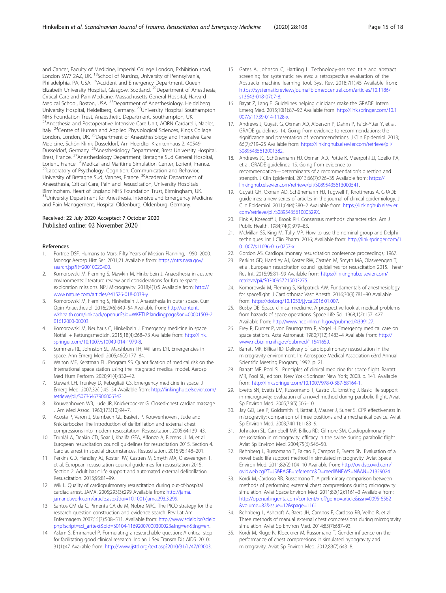<span id="page-14-0"></span>and Cancer, Faculty of Medicine, Imperial College London, Exhibition road, London SW7 2AZ, UK. <sup>18</sup>School of Nursing, University of Pennsylvania, Philadelphia, PA, USA. <sup>19</sup>Accident and Emergency Department, Queen Elizabeth University Hospital, Glasgow, Scotland. <sup>20</sup>Department of Anesthesia, Critical Care and Pain Medicine, Massachusetts General Hospital, Harvard Medical School, Boston, USA. 21Department of Anesthesiology, Heidelberg University Hospital, Heidelberg, Germany. 22University Hospital Southampton NHS Foundation Trust, Anaesthetic Department, Southampton, UK. <sup>23</sup> Anesthesia and Postoperative Intensive Care Unit, AORN Cardarelli, Naples, Italy. 24Centre of Human and Applied Physiological Sciences, Kings College London, London, UK.<sup>25</sup>Department of Anaesthesiology and Intensive Care Medicine, Schön Klinik Düsseldorf, Am Heerdter Krankenhaus 2, 40549 Düsseldorf, Germany. 26Anesthesiology Department, Brest University Hospital, Brest, France. 27Anesthesiology Department, Bretagne Sud General Hospital, Lorient, France. <sup>28</sup>Medical and Maritime Simulation Center, Lorient, France.<br><sup>29</sup>Laboratory of Psychology, Cognition, Communication and Behavior, University of Bretagne Sud, Vannes, France. <sup>30</sup>Academic Department of Anaesthesia, Critical Care, Pain and Resuscitation, University Hospitals Birmingham, Heart of England NHS Foundation Trust, Birmingham, UK. <sup>31</sup>University Department for Anesthesia, Intensive and Emergency Medicine and Pain Management, Hospital Oldenburg, Oldenburg, Germany.

## Received: 22 July 2020 Accepted: 7 October 2020 Published online: 02 November 2020

#### References

- 1. Portree DSF. Humans to Mars: Fifty Years of Mission Planning, 1950–2000. Monogr Aerosp Hist Ser. 2001;21 Available from: [https://ntrs.nasa.gov/](https://ntrs.nasa.gov/search.jsp?R=20010020400) [search.jsp?R=20010020400](https://ntrs.nasa.gov/search.jsp?R=20010020400).
- 2. Komorowski M, Fleming S, Mawkin M, Hinkelbein J. Anaesthesia in austere environments: literature review and considerations for future space exploration missions. NPJ Microgravity. 2018;4(1):5 Available from: [http://](http://www.nature.com/articles/s41526-018-0039-y) [www.nature.com/articles/s41526-018-0039-y.](http://www.nature.com/articles/s41526-018-0039-y)
- 3. Komorowski M, Fleming S, Hinkelbein J. Anaesthesia in outer space. Curr Opin Anaesthesiol. 2016;29(6):649–54 Available from: [http://content.](http://content.wkhealth.com/linkback/openurl?sid=WKPTLP:landingpage&an=00001503-201612000-00003) [wkhealth.com/linkback/openurl?sid=WKPTLP:landingpage&an=00001503-2](http://content.wkhealth.com/linkback/openurl?sid=WKPTLP:landingpage&an=00001503-201612000-00003) [01612000-00003](http://content.wkhealth.com/linkback/openurl?sid=WKPTLP:landingpage&an=00001503-201612000-00003).
- 4. Komorowski M, Neuhaus C, Hinkelbein J. Emergency medicine in space. Notfall + Rettungsmedizin. 2015;18(4):268–73 Available from: [http://link.](http://link.springer.com/10.1007/s10049-014-1979-8) [springer.com/10.1007/s10049-014-1979-8](http://link.springer.com/10.1007/s10049-014-1979-8).
- 5. Summers RL, Johnston SL, Marshburn TH, Williams DR. Emergencies in space. Ann Emerg Med. 2005;46(2):177–84.
- 6. Walton ME, Kerstman EL, Program SS. Quantification of medical risk on the international space station using the integrated medical model. Aerosp Med Hum Perform. 2020;91(4):332–42.
- Stewart LH, Trunkey D, Rebagliati GS. Emergency medicine in space. J Emerg Med. 2007;32(1):45–54 Available from: [http://linkinghub.elsevier.com/](http://linkinghub.elsevier.com/retrieve/pii/S0736467906006342) [retrieve/pii/S0736467906006342](http://linkinghub.elsevier.com/retrieve/pii/S0736467906006342).
- 8. Kouwenhoven WB, Jude JR, Knickerbocker G. Closed-chest cardiac massage. J Am Med Assoc. 1960;173(10):94–7.
- 9. Acosta P, Varon J, Sternbach GL, Baskett P. Kouwenhoven , Jude and Knickerbocker The introduction of defibrillation and external chest compressions into modern resuscitation. Resuscitation. 2005;64:139–43.
- 10. Truhlář A, Deakin CD, Soar J, Khalifa GEA, Alfonzo A, Bierens JJLM, et al. European resuscitation council guidelines for resuscitation 2015. Section 4. Cardiac arrest in special circumstances. Resuscitation. 2015;95:148–201.
- 11. Perkins GD, Handley AJ, Koster RW, Castrén M, Smyth MA, Olasveengen T, et al. European resuscitation council guidelines for resuscitation 2015. Section 2. Adult basic life support and automated external defibrillation. Resuscitation. 2015;95:81–99.
- 12. Wik L. Quality of cardiopulmonary resuscitation during out-of-hospital cardiac arrest. JAMA. 2005;293(3):299 Available from: [http://jama.](http://jama.jamanetwork.com/article.aspx?doi=10.1001/jama.293.3.299) [jamanetwork.com/article.aspx?doi=10.1001/jama.293.3.299.](http://jama.jamanetwork.com/article.aspx?doi=10.1001/jama.293.3.299)
- 13. Santos CM da C, Pimenta CA de M, Nobre MRC. The PICO strategy for the research question construction and evidence search. Rev Lat Am Enfermagem 2007;15(3):508–511. Available from: [http://www.scielo.br/scielo.](http://www.scielo.br/scielo.php?script=sci_arttext&pid=S0104-11692007000300023&lng=en&tlng=en) [php?script=sci\\_arttext&pid=S0104-11692007000300023&lng=en&tlng=en.](http://www.scielo.br/scielo.php?script=sci_arttext&pid=S0104-11692007000300023&lng=en&tlng=en)
- 14. Aslam S, Emmanuel P. Formulating a researchable question: A critical step for facilitating good clinical research. Indian J Sex Transm Dis AIDS. 2010; 31(1):47 Available from: [http://www.ijstd.org/text.asp?2010/31/1/47/69003.](http://www.ijstd.org/text.asp?2010/31/1/47/69003)
- 15. Gates A, Johnson C, Hartling L. Technology-assisted title and abstract screening for systematic reviews: a retrospective evaluation of the Abstrackr machine learning tool. Syst Rev. 2018;7(1):45 Available from: [https://systematicreviewsjournal.biomedcentral.com/articles/10.1186/](https://systematicreviewsjournal.biomedcentral.com/articles/10.1186/s13643-018-0707-8) [s13643-018-0707-8](https://systematicreviewsjournal.biomedcentral.com/articles/10.1186/s13643-018-0707-8).
- 16. Bayat Z, Lang E. Guidelines helping clinicians make the GRADE. Intern Emerg Med. 2015;10(1):87–92 Available from: [http://link.springer.com/10.1](http://link.springer.com/10.1007/s11739-014-1128-x) [007/s11739-014-1128-x](http://link.springer.com/10.1007/s11739-014-1128-x).
- 17. Andrews J, Guyatt G, Oxman AD, Alderson P, Dahm P, Falck-Ytter Y, et al. GRADE guidelines: 14. Going from evidence to recommendations: the significance and presentation of recommendations. J Clin Epidemiol. 2013; 66(7):719–25 Available from: [https://linkinghub.elsevier.com/retrieve/pii/](https://linkinghub.elsevier.com/retrieve/pii/S0895435612001382) [S0895435612001382.](https://linkinghub.elsevier.com/retrieve/pii/S0895435612001382)
- 18. Andrews JC, Schünemann HJ, Oxman AD, Pottie K, Meerpohl JJ, Coello PA, et al. GRADE guidelines: 15. Going from evidence to recommendation—determinants of a recommendation's direction and strength. J Clin Epidemiol. 2013;66(7):726–35 Available from: [https://](https://linkinghub.elsevier.com/retrieve/pii/S0895435613000541) [linkinghub.elsevier.com/retrieve/pii/S0895435613000541](https://linkinghub.elsevier.com/retrieve/pii/S0895435613000541).
- 19. Guyatt GH, Oxman AD, Schünemann HJ, Tugwell P, Knottnerus A. GRADE guidelines: a new series of articles in the journal of clinical epidemiology. J Clin Epidemiol. 2011;64(4):380–2 Available from: [https://linkinghub.elsevier.](https://linkinghub.elsevier.com/retrieve/pii/S089543561000329X) [com/retrieve/pii/S089543561000329X](https://linkinghub.elsevier.com/retrieve/pii/S089543561000329X).
- 20. Fink A, Kosecoff J, Brook RH. Consensus methods: characteristics. Am J Public Health. 1984;74(9):979–83.
- 21. McMillan SS, King M, Tully MP. How to use the nominal group and Delphi techniques. Int J Clin Pharm. 2016; Available from: [http://link.springer.com/1](http://link.springer.com/10.1007/s11096-016-0257-x) [0.1007/s11096-016-0257-x](http://link.springer.com/10.1007/s11096-016-0257-x).
- 22. Gordon AS. Cardiopulmonary resuscitation conference proceedings; 1967.
- 23. Perkins GD, Handley AJ, Koster RW, Castrén M, Smyth MA, Olasveengen T, et al. European resuscitation council guidelines for resuscitation 2015. Theatr Res Int. 2015;95:81–99 Available from: [https://linkinghub.elsevier.com/](https://linkinghub.elsevier.com/retrieve/pii/S0300957215003275) [retrieve/pii/S0300957215003275.](https://linkinghub.elsevier.com/retrieve/pii/S0300957215003275)
- 24. Komorowski M, Fleming S, Kirkpatrick AW. Fundamentals of anesthesiology for spaceflight. J Cardiothorac Vasc Anesth. 2016;30(3):781–90 Available from: [https://doi.org/10.1053/j.jvca.2016.01.007.](https://doi.org/10.1053/j.jvca.2016.01.007)
- 25. Busby DE. Space clinical medicine. A prospective look at medical problems from hazards of space operations. Space Life Sci. 1968;1(2):157–427 Available from: [http://www.ncbi.nlm.nih.gov/pubmed/4399127.](http://www.ncbi.nlm.nih.gov/pubmed/4399127)
- 26. Frey R, Durner P, von Baumgarten R, Vogel H. Emergency medical care on space stations. Acta Astronaut. 1980;7(12):1483–4 Available from: [http://](http://www.ncbi.nlm.nih.gov/pubmed/11541659) [www.ncbi.nlm.nih.gov/pubmed/11541659.](http://www.ncbi.nlm.nih.gov/pubmed/11541659)
- 27. Barratt MR, Billica RD. Delivery of cardiopulmonary resuscitation in the microgravity environment. In: Aerospace Medical Association 63rd Annual Scientific Meeting Program; 1992. p. 21.
- 28. Barratt MR, Pool SL. Principles of clinical medicine for space flight. Barratt MR, Pool SL, editors. New York: Springer New York; 2008. p. 141. Available from: [http://link.springer.com/10.1007/978-0-387-68164-1.](http://link.springer.com/10.1007/978-0-387-68164-1)
- 29. Evetts SN, Evetts LM, Russomano T, Castro JC, Ernsting J. Basic life support in microgravity: evaluation of a novel method during parabolic flight. Aviat Sp Environ Med. 2005;76(5):506–10.
- 30. Jay GD, Lee P, Goldsmith H, Battat J, Maurer J, Suner S. CPR effectiveness in microgravity: comparison of three positions and a mechanical device. Aviat Sp Environ Med. 2003;74(11):1183–9.
- 31. Johnston SL, Campbell MR, Billica RD, Gilmore SM. Cardiopulmonary resuscitation in microgravity: efficacy in the swine during parabolic flight. Aviat Sp Environ Med. 2004;75(6):546–50.
- 32. Rehnberg L, Russomano T, Falcao F, Campos F, Everts SN. Evaluation of a novel basic life support method in simulated microgravity. Aviat Space Environ Med. 2011;82(2):104–10 Available from: [http://ovidsp.ovid.com/](http://ovidsp.ovid.com/ovidweb.cgi?T=JS&PAGE=reference&D=medl&NEWS=N&AN=21329024) [ovidweb.cgi?T=JS&PAGE=reference&D=medl&NEWS=N&AN=21329024](http://ovidsp.ovid.com/ovidweb.cgi?T=JS&PAGE=reference&D=medl&NEWS=N&AN=21329024).
- 33. Kordi M, Cardoso RB, Russomano T. A preliminary comparison between methods of performing external chest compressions during microgravity simulation. Aviat Space Environ Med. 2011;82(12):1161–3 Available from: [http://openurl.ingenta.com/content/xref?genre=article&issn=0095-6562](http://openurl.ingenta.com/content/xref?genre=article&issn=0095-6562&volume=82&issue=12&spage=1161) [&volume=82&issue=12&spage=1161.](http://openurl.ingenta.com/content/xref?genre=article&issn=0095-6562&volume=82&issue=12&spage=1161)
- 34. Rehnberg L, Ashcroft A, Baers JH, Campos F, Cardoso RB, Velho R, et al. Three methods of manual external chest compressions during microgravity simulation. Aviat Sp Environ Med. 2014;85(7):687–93.
- 35. Kordi M, Kluge N, Kloeckner M, Russomano T. Gender influence on the performance of chest compressions in simulated hypogravity and microgravity. Aviat Sp Environ Med. 2012;83(7):643–8.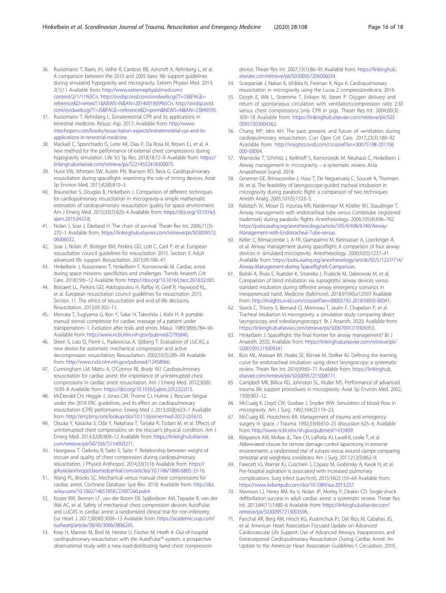- <span id="page-15-0"></span>36. Russomano T, Baers JH, Velho R, Cardoso RB, Ashcroft A, Rehnberg L, et al. A comparison between the 2010 and 2005 basic life support guidelines during simulated hypogravity and microgravity. Extrem Physiol Med. 2013; 2(1):11 Available from: [http://www.extremephysiolmed.com/](http://www.extremephysiolmed.com/content/2/1/11/n) [content/2/1/11%5Cn](http://www.extremephysiolmed.com/content/2/1/11/n), [http://ovidsp.ovid.com/ovidweb.cgi?T=JS&PAGE=](http://ovidsp.ovid.com/ovidweb.cgi?T=JS&PAGE=reference&D=prem&NEWS=N&AN=23849595) [reference&D=emed11&NEWS=N&AN=2014001809%5Cn](http://ovidsp.ovid.com/ovidweb.cgi?T=JS&PAGE=reference&D=prem&NEWS=N&AN=23849595), [http://ovidsp.ovid.](http://ovidsp.ovid.com/ovidweb.cgi?T=JS&PAGE=reference&D=prem&NEWS=N&AN=23849595) [com/ovidweb.cgi?T=JS&PAGE=reference&D=prem&NEWS=N&AN=23849595.](http://ovidsp.ovid.com/ovidweb.cgi?T=JS&PAGE=reference&D=prem&NEWS=N&AN=23849595)
- 37. Russomano T, Rehnberg L. Extraterrestrial CPR and its applications in terrestrial medicine. Resusc Asp. 2017; Available from: [http://www.](http://www.intechopen.com/books/resuscitation-aspects/extraterrestrial-cpr-and-its-applications-in-terrestrial-medicine) [intechopen.com/books/resuscitation-aspects/extraterrestrial-cpr-and-its](http://www.intechopen.com/books/resuscitation-aspects/extraterrestrial-cpr-and-its-applications-in-terrestrial-medicine)[applications-in-terrestrial-medicine.](http://www.intechopen.com/books/resuscitation-aspects/extraterrestrial-cpr-and-its-applications-in-terrestrial-medicine)
- 38. Mackaill C, Sponchiado G, Leite AK, Dias P, Da Rosa M, Brown EJ, et al. A new method for the performance of external chest compressions during hypogravity simulation. Life Sci Sp Res. 2018;18:72–9 Available from: [https://](https://linkinghub.elsevier.com/retrieve/pii/S2214552418300075) [linkinghub.elsevier.com/retrieve/pii/S2214552418300075](https://linkinghub.elsevier.com/retrieve/pii/S2214552418300075).
- 39. Hurst VW, Whittam SW, Austin PN, Branson RD, Beck G. Cardiopulmonary resuscitation during spaceflight: examining the role of timing devices. Aviat Sp Environ Med. 2011;82(8):810–3.
- 40. Braunecker S, Douglas B, Hinkelbein J. Comparison of different techniques for cardiopulmonary resuscitation in microgravity-a simple mathematic estimation of cardiopulmonary resuscitation quality for space environment. Am J Emerg Med. 2015;33(7):920–4 Available from: [https://doi.org/10.1016/j.](https://doi.org/10.1016/j.ajem.2015.04.018) [ajem.2015.04.018.](https://doi.org/10.1016/j.ajem.2015.04.018)
- 41. Nolan J, Soar J, Eikeland H. The chain of survival. Theatr Res Int. 2006;71(3): 270–1 Available from: [https://linkinghub.elsevier.com/retrieve/pii/S03009572](https://linkinghub.elsevier.com/retrieve/pii/S0300957206006022) [06006022.](https://linkinghub.elsevier.com/retrieve/pii/S0300957206006022)
- 42. Soar J, Nolan JP, Böttiger BW, Perkins GD, Lott C, Carli P, et al. European resuscitation council guidelines for resuscitation 2015. Section 3. Adult advanced life support. Resuscitation. 2015;95:100–47.
- 43. Hinkelbein J, Russomano T, Hinkelbein F, Komorowski M. Cardiac arrest during space missions: specificities and challenges. Trends Anaesth Crit Care. 2018;19:6–12 Available from: [https://doi.org/10.1016/j.tacc.2018.02.001.](https://doi.org/10.1016/j.tacc.2018.02.001)
- 44. Bossaert LL, Perkins GD, Askitopoulou H, Raffay VI, Greif R, Haywood KL, et al. European resuscitation council guidelines for resuscitation 2015. Section 11. The ethics of resuscitation and end-of-life decisions. Resuscitation. 2015;95:302–11.
- 45. Morioka T, Sugiyama G, Kon Y, Sakai H, Takeshita J, Kishi H. A portable manual sternal compressor for cardiac massage of a patient under transportation--1. Evolution after trials and errors. Masui. 1989;38(6):784–90 Available from: [http://www.ncbi.nlm.nih.gov/pubmed/2795846.](http://www.ncbi.nlm.nih.gov/pubmed/2795846)
- 46. Steen S, Liao Q, Pierre L, Paskevicius A, Sjöberg T. Evaluation of LUCAS, a new device for automatic mechanical compression and active decompression resuscitation. Resuscitation. 2002;55(3):285–99 Available from: <http://www.ncbi.nlm.nih.gov/pubmed/12458066>.
- 47. Cunningham LM, Mattu A, O'Connor RE, Brady WJ. Cardiopulmonary resuscitation for cardiac arrest: the importance of uninterrupted chest compressions in cardiac arrest resuscitation. Am J Emerg Med. 2012;30(8): 1630–8 Available from: [https://doi.org/10.1016/j.ajem.2012.02.015.](https://doi.org/10.1016/j.ajem.2012.02.015)
- 48. McDonald CH, Heggie J, Jones CM, Thorne CJ, Hulme J. Rescuer fatigue under the 2010 ERC guidelines, and its effect on cardiopulmonary resuscitation (CPR) performance. Emerg Med J. 2013;30(8):623–7 Available from: [http://emj.bmj.com/lookup/doi/10.1136/emermed-2012-201610.](http://emj.bmj.com/lookup/doi/10.1136/emermed-2012-201610)
- 49. Otsuka Y, Kasaoka S, Oda Y, Nakahara T, Tanaka R, Todani M, et al. Effects of uninterrupted chest compressions on the rescuer's physical condition. Am J Emerg Med. 2014;32(8):909–12 Available from: [https://linkinghub.elsevier.](https://linkinghub.elsevier.com/retrieve/pii/S0735675714003271) [com/retrieve/pii/S0735675714003271.](https://linkinghub.elsevier.com/retrieve/pii/S0735675714003271)
- 50. Hasegawa T, Daikoku R, Saito S, Saito Y. Relationship between weight of rescuer and quality of chest compression during cardiopulmonary resuscitation. J Physiol Anthropol. 2014;33(1):16 Available from: [https://](https://jphysiolanthropol.biomedcentral.com/articles/10.1186/1880-6805-33-16) [jphysiolanthropol.biomedcentral.com/articles/10.1186/1880-6805-33-16](https://jphysiolanthropol.biomedcentral.com/articles/10.1186/1880-6805-33-16).
- 51. Wang PL, Brooks SC. Mechanical versus manual chest compressions for cardiac arrest. Cochrane Database Syst Rev. 2018; Available from: [http://doi.](http://doi.wiley.com/10.1002/14651858.CD007260.pub4) [wiley.com/10.1002/14651858.CD007260.pub4](http://doi.wiley.com/10.1002/14651858.CD007260.pub4).
- 52. Koster RW, Beenen LF, van der Boom EB, Spijkerboer AM, Tepaske R, van der Wal AC, et al. Safety of mechanical chest compression devices AutoPulse and LUCAS in cardiac arrest: a randomized clinical trial for non-inferiority. Eur Heart J. 2017;38(40):3006–13 Available from: [https://academic.oup.com/](https://academic.oup.com/eurheartj/article/38/40/3006/3896245) [eurheartj/article/38/40/3006/3896245](https://academic.oup.com/eurheartj/article/38/40/3006/3896245).
- 53. Krep H, Mamier M, Breil M, Heister U, Fischer M, Hoeft A. Out-of-hospital cardiopulmonary resuscitation with the AutoPulse™ system: a prospective observational study with a new load-distributing band chest compression

device. Theatr Res Int. 2007;73(1):86–95 Available from: [https://linkinghub.](https://linkinghub.elsevier.com/retrieve/pii/S0300957206006034) [elsevier.com/retrieve/pii/S0300957206006034.](https://linkinghub.elsevier.com/retrieve/pii/S0300957206006034)

- 54. Sczepaniak J, Nakao K, Ishikita N, Freiman K, Ngo K. Cardiopulmonary resuscitation in microgravity using the Lucas 2 compressiondevice; 2016.
- 55. Dorph E, Wik L, Strømme T, Eriksen M, Steen P. Oxygen delivery and return of spontaneous circulation with ventilation:compression ratio 2:30 versus chest compressions only CPR in pigs. Theatr Res Int. 2004;60(3): 309–18 Available from: [https://linkinghub.elsevier.com/retrieve/pii/S03](https://linkinghub.elsevier.com/retrieve/pii/S0300957203004362) [00957203004362.](https://linkinghub.elsevier.com/retrieve/pii/S0300957203004362)
- 56. Chang MP, Idris AH. The past, present, and future of ventilation during cardiopulmonary resuscitation. Curr Opin Crit Care. 2017;23(3):188–92 Available from: [http://insights.ovid.com/crossref?an=00075198-201706](http://insights.ovid.com/crossref?an=00075198-201706000-00004) [000-00004.](http://insights.ovid.com/crossref?an=00075198-201706000-00004)
- 57. Warnecke T, Schmitz J, Kerkhoff S, Komorowski M, Neuhaus C, Hinkelbein J. Airway management in microgravity – a systematic review. Acta Anaesthesiol Scand. 2018.
- 58. Groemer GE, Brimacombe J, Haas T, De Negueruela C, Soucek A, Thomsen M, et al. The feasibility of laryngoscope-guided tracheal intubation in microgravity during parabolic flight: a comparison of two techniques. Anesth Analg. 2005;101(5):1533–5.
- 59. Rabitsch W, Moser D, Inzunza MR, Niedermayr M, Köstler WJ, Staudinger T. Airway management with endotracheal tube versus Combitube (registered trademark) during parabolic flights. Anesthesiology. 2006;105(4):696–702. [https://pubs.asahq.org/anesthesiology/article/105/4/696/6740/Airway-](https://pubs.asahq.org/anesthesiology/article/105/4/696/6740/Airway-Management-with-Endotracheal-Tube-versus)[Management-with-Endotracheal-Tube-versus.](https://pubs.asahq.org/anesthesiology/article/105/4/696/6740/Airway-Management-with-Endotracheal-Tube-versus)
- 60. Keller C, Brimacombe J, A FR, Giampalmo M, Kleinsasser A, Loeckinger A, et al. Airway management during spaceflight: A comparison of four airway devices in simulated microgravity. Anesthesiology. 2000;92(5):1237–41 Available from: [https://pubs.asahq.org/anesthesiology/article/92/5/1237/714/](https://pubs.asahq.org/anesthesiology/article/92/5/1237/714/Airway-Management-during-SpaceflightA-Comparison) [Airway-Management-during-SpaceflightA-Comparison.](https://pubs.asahq.org/anesthesiology/article/92/5/1237/714/Airway-Management-during-SpaceflightA-Comparison)
- 61. Bielski A, Rivas E, Ruetzler K, Smereka J, Puslecki M, Dabrowski M, et al. Comparison of blind intubation via supraglottic airway devices versus standard intubation during different airway emergency scenarios in inexperienced hand. Medicine (Baltimore). 2018;97(40):e12593 Available from: [http://insights.ovid.com/crossref?an=00005792-201810050-00041.](http://insights.ovid.com/crossref?an=00005792-201810050-00041)
- Starck C, Thierry S, Bernard CI, Morineau T, Jaulin F, Chapelain P, et al. Tracheal intubation in microgravity: a simulation study comparing direct laryngoscopy and videolaryngoscopy†. Br J Anaesth. 2020; Available from: [https://linkinghub.elsevier.com/retrieve/pii/S0007091219309353.](https://linkinghub.elsevier.com/retrieve/pii/S0007091219309353)
- 63. Hinkelbein J. Spaceflight: the final frontier for airway management? Br J Anaesth. 2020; Available from: [https://linkinghub.elsevier.com/retrieve/pii/](https://linkinghub.elsevier.com/retrieve/pii/S0007091219309341) [S0007091219309341.](https://linkinghub.elsevier.com/retrieve/pii/S0007091219309341)
- 64. Buis ML, Maissan IM, Hoeks SE, Klimek M, Stolker RJ. Defining the learning curve for endotracheal intubation using direct laryngoscopy: a systematic review. Theatr Res Int. 2016;99:63–71 Available from: [https://linkinghub.](https://linkinghub.elsevier.com/retrieve/pii/S0300957215008771) [elsevier.com/retrieve/pii/S0300957215008771.](https://linkinghub.elsevier.com/retrieve/pii/S0300957215008771)
- 65. Campbell MR, Billica RD, Johnston SL, Muller MS. Performance of advanced trauma life support procedures in microgravity. Aviat Sp Environ Med. 2002; 73(9):907–12.
- 66. McCuaig K, Lloyd CW, Gosbee J, Snyder WW. Simulation of blood flow in microgravity. Am J Surg. 1992;164(2):119–23.
- 67. McCuaig KE. Houtchens BA. Management of trauma and emergency surgery in space. J Trauma. 1992;33(4):610–25 discussion 625–6. Available from: <http://www.ncbi.nlm.nih.gov/pubmed/1433409>.
- 68. Kirkpatrick AW, McKee JL, Tien CH, LaPorta AJ, Lavell K, Leslie T, et al. Abbreviated closure for remote damage control laparotomy in extreme environments: a randomized trial of sutures versus wound clamps comparing terrestrial and weightless conditions. Am J Surg. 2017;213(5):862–9.
- 69. Fawcett VJ, Warner KJ, Cuschieri J, Copass M, Grabinsky A, Kwok H, et al. Pre-hospital aspiration is associated with increased pulmonary complications. Surg Infect (Larchmt). 2015;16(2):159–64 Available from: [https://www.liebertpub.com/doi/10.1089/sur.2013.237.](https://www.liebertpub.com/doi/10.1089/sur.2013.237)
- 70. Morrison LJ, Henry RM, Ku V, Nolan JP, Morley P, Deakin CD. Single-shock defibrillation success in adult cardiac arrest: a systematic review. Theatr Res Int. 2013;84(11):1480–6 Available from: [https://linkinghub.elsevier.com/](https://linkinghub.elsevier.com/retrieve/pii/S0300957213003596) [retrieve/pii/S0300957213003596.](https://linkinghub.elsevier.com/retrieve/pii/S0300957213003596)
- 71. Panchal AR, Berg KM, Hirsch KG, Kudenchuk PJ, Del Rios M, Cabañas JG, et al. American Heart Association Focused Update on Advanced Cardiovascular Life Support: Use of Advanced Airways, Vasopressors, and Extracorporeal Cardiopulmonary Resuscitation During Cardiac Arrest: An Update to the American Heart Association Guidelines f. Circulation. 2019,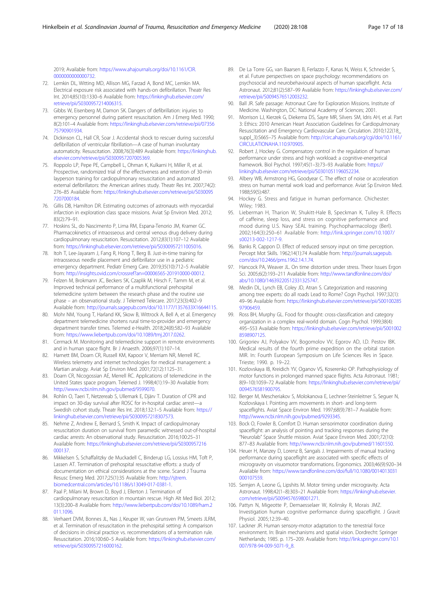<span id="page-16-0"></span>2019; Available from: [https://www.ahajournals.org/doi/10.1161/CIR.](https://www.ahajournals.org/doi/10.1161/CIR.0000000000000732) [0000000000000732](https://www.ahajournals.org/doi/10.1161/CIR.0000000000000732).

- 72. Lemkin DL, Witting MD, Allison MG, Farzad A, Bond MC, Lemkin MA. Electrical exposure risk associated with hands-on defibrillation. Theatr Res Int. 2014;85(10):1330–6 Available from: [https://linkinghub.elsevier.com/](https://linkinghub.elsevier.com/retrieve/pii/S0300957214006315) [retrieve/pii/S0300957214006315](https://linkinghub.elsevier.com/retrieve/pii/S0300957214006315).
- 73. Gibbs W, Eisenberg M, Damon SK. Dangers of defibrillation: injuries to emergency personnel during patient resuscitation. Am J Emerg Med. 1990; 8(2):101–4 Available from: [https://linkinghub.elsevier.com/retrieve/pii/07356](https://linkinghub.elsevier.com/retrieve/pii/0735675790901934) [75790901934](https://linkinghub.elsevier.com/retrieve/pii/0735675790901934).
- 74. Dickinson CL, Hall CR, Soar J. Accidental shock to rescuer during successful defibrillation of ventricular fibrillation—A case of human involuntary automaticity. Resuscitation. 2008;76(3):489 Available from: [https://linkinghub.](https://linkinghub.elsevier.com/retrieve/pii/S0300957207005369) [elsevier.com/retrieve/pii/S0300957207005369.](https://linkinghub.elsevier.com/retrieve/pii/S0300957207005369)
- 75. Roppolo LP, Pepe PE, Campbell L, Ohman K, Kulkarni H, Miller R, et al. Prospective, randomized trial of the effectiveness and retention of 30-min layperson training for cardiopulmonary resuscitation and automated external defibrillators: the American airlines study. Theatr Res Int. 2007;74(2): 276–85 Available from: [https://linkinghub.elsevier.com/retrieve/pii/S030095](https://linkinghub.elsevier.com/retrieve/pii/S0300957207000184) [7207000184.](https://linkinghub.elsevier.com/retrieve/pii/S0300957207000184)
- 76. Gillis DB, Hamilton DR. Estimating outcomes of astronauts with myocardial infarction in exploration class space missions. Aviat Sp Environ Med. 2012; 83(2):79–91.
- 77. Hoskins SL, do Nascimento P, Lima RM, Espana-Tenorio JM, Kramer GC. Pharmacokinetics of intraosseous and central venous drug delivery during cardiopulmonary resuscitation. Resuscitation. 2012;83(1):107–12 Available from: [https://linkinghub.elsevier.com/retrieve/pii/S0300957211005016.](https://linkinghub.elsevier.com/retrieve/pii/S0300957211005016)
- 78. Itoh T, Lee-Jayaram J, Fang R, Hong T, Berg B. Just-in-time training for intraosseous needle placement and defibrillator use in a pediatric emergency department. Pediatr Emerg Care. 2019;35(10):712–5 Available from: [http://insights.ovid.com/crossref?an=00006565-201910000-00012.](http://insights.ovid.com/crossref?an=00006565-201910000-00012)
- 79. Felzen M, Brokmann JC, Beckers SK, Czaplik M, Hirsch F, Tamm M, et al. Improved technical performance of a multifunctional prehospital telemedicine system between the research phase and the routine use phase – an observational study. J Telemed Telecare. 2017;23(3):402–9 Available from: [http://journals.sagepub.com/doi/10.1177/1357633X16644115.](http://journals.sagepub.com/doi/10.1177/1357633X16644115)
- 80. Mohr NM, Young T, Harland KK, Skow B, Wittrock A, Bell A, et al. Emergency department telemedicine shortens rural time-to-provider and emergency department transfer times. Telemed e-Health. 2018;24(8):582–93 Available from: <https://www.liebertpub.com/doi/10.1089/tmj.2017.0262>.
- 81. Cermack M. Monitoring and telemedicine support in remote environments and in human space flight. Br J Anaesth. 2006;97(1):107–14.
- 82. Harnett BM, Doarn CR, Russell KM, Kapoor V, Merriam NR, Merrell RC. Wireless telemetry and internet technologies for medical management: a Martian analogy. Aviat Sp Environ Med. 2001;72(12):1125–31.
- 83. Doarn CR, Nicogossian AE, Merrell RC. Applications of telemedicine in the United States space program. Telemed J. 1998;4(1):19–30 Available from: <http://www.ncbi.nlm.nih.gov/pubmed/9599070>.
- 84. Rohlin O, Taeri T, Netzereab S, Ullemark E, Djärv T. Duration of CPR and impact on 30-day survival after ROSC for in-hospital cardiac arrest—a Swedish cohort study. Theatr Res Int. 2018;132:1–5 Available from: [https://](https://linkinghub.elsevier.com/retrieve/pii/S0300957218307573) [linkinghub.elsevier.com/retrieve/pii/S0300957218307573](https://linkinghub.elsevier.com/retrieve/pii/S0300957218307573).
- 85. Nehme Z, Andrew E, Bernard S, Smith K. Impact of cardiopulmonary resuscitation duration on survival from paramedic witnessed out-of-hospital cardiac arrests: An observational study. Resuscitation. 2016;100:25–31 Available from: [https://linkinghub.elsevier.com/retrieve/pii/S0300957216](https://linkinghub.elsevier.com/retrieve/pii/S0300957216000137) [000137](https://linkinghub.elsevier.com/retrieve/pii/S0300957216000137).
- 86. Mikkelsen S, Schaffalitzky de Muckadell C, Binderup LG, Lossius HM, Toft P, Lassen AT. Termination of prehospital resuscitative efforts: a study of documentation on ethical considerations at the scene. Scand J Trauma Resusc Emerg Med. 2017;25(1):35 Available from: [http://sjtrem.](http://sjtrem.biomedcentral.com/articles/10.1186/s13049-017-0381-1) [biomedcentral.com/articles/10.1186/s13049-017-0381-1.](http://sjtrem.biomedcentral.com/articles/10.1186/s13049-017-0381-1)
- 87. Paal P, Milani M, Brown D, Boyd J, Ellerton J. Termination of cardiopulmonary resuscitation in mountain rescue. High Alt Med Biol. 2012; 13(3):200–8 Available from: [http://www.liebertpub.com/doi/10.1089/ham.2](http://www.liebertpub.com/doi/10.1089/ham.2011.1096) [011.1096.](http://www.liebertpub.com/doi/10.1089/ham.2011.1096)
- 88. Verhaert DVM, Bonnes JL, Nas J, Keuper W, van Grunsven PM, Smeets JLRM, et al. Termination of resuscitation in the prehospital setting: A comparison of decisions in clinical practice vs. recommendations of a termination rule. Resuscitation. 2016;100:60–5 Available from: [https://linkinghub.elsevier.com/](https://linkinghub.elsevier.com/retrieve/pii/S0300957216000162) [retrieve/pii/S0300957216000162](https://linkinghub.elsevier.com/retrieve/pii/S0300957216000162).
- 89. De La Torre GG, van Baarsen B, Ferlazzo F, Kanas N, Weiss K, Schneider S, et al. Future perspectives on space psychology: recommendations on psychosocial and neurobehavioural aspects of human spaceflight. Acta Astronaut. 2012;81(2):587–99 Available from: [https://linkinghub.elsevier.com/](https://linkinghub.elsevier.com/retrieve/pii/S0094576512003232) [retrieve/pii/S0094576512003232.](https://linkinghub.elsevier.com/retrieve/pii/S0094576512003232)
- 90. Ball JR. Safe passage: Astronaut Care for Exploration Missions. Institute of Medicine. Washington, DC: National Academy of Sciences; 2001.
- 91. Morrison LJ, Kierzek G, Diekema DS, Sayre MR, Silvers SM, Idris AH, et al. Part 3: Ethics: 2010 American Heart Association Guidelines for Cardiopulmonary Resuscitation and Emergency Cardiovascular Care. Circulation. 2010;122(18\_ suppl\_3):S665–75 Available from: [http://circ.ahajournals.org/cgi/doi/10.1161/](http://circ.ahajournals.org/cgi/doi/10.1161/CIRCULATIONAHA.110.970905) [CIRCULATIONAHA.110.970905](http://circ.ahajournals.org/cgi/doi/10.1161/CIRCULATIONAHA.110.970905).
- 92. Robert J, Hockey G. Compensatory control in the regulation of human performance under stress and high workload: a cognitive-energetical framework. Biol Psychol. 1997;45(1–3):73–93 Available from: [https://](https://linkinghub.elsevier.com/retrieve/pii/S0301051196052234) [linkinghub.elsevier.com/retrieve/pii/S0301051196052234](https://linkinghub.elsevier.com/retrieve/pii/S0301051196052234).
- 93. Albery WB, Armstrong HG, Goodyear C. The effect of noise or acceleration stress on human mental work load and performance. Aviat Sp Environ Med. 1988;59(5):487.
- 94. Hockey G. Stress and fatigue in human performance. Chichester: Wiley; 1983.
- 95. Lieberman H, Tharion W, Shukitt-Hale B, Speckman K, Tulley R. Effects of caffeine, sleep loss, and stress on cognitive performance and mood during U.S. Navy SEAL training. Psychopharmacology (Berl). 2002;164(3):250–61 Available from: [http://link.springer.com/10.1007/](http://link.springer.com/10.1007/s00213-002-1217-9) [s00213-002-1217-9](http://link.springer.com/10.1007/s00213-002-1217-9).
- 96. Banks R, Cappon D. Effect of reduced sensory input on time perception. Percept Mot Skills. 1962;14(1):74 Available from: [http://journals.sagepub.](http://journals.sagepub.com/doi/10.2466/pms.1962.14.1.74) [com/doi/10.2466/pms.1962.14.1.74](http://journals.sagepub.com/doi/10.2466/pms.1962.14.1.74).
- 97. Hancock PA, Weaver JL. On time distortion under stress. Theor Issues Ergon Sci. 2005;6(2):193–211 Available from: [http://www.tandfonline.com/doi/](http://www.tandfonline.com/doi/abs/10.1080/14639220512331325747) [abs/10.1080/14639220512331325747](http://www.tandfonline.com/doi/abs/10.1080/14639220512331325747).
- 98. Medin DL, Lynch EB, Coley JD, Atran S. Categorization and reasoning among tree experts: do all roads Lead to Rome? Cogn Psychol. 1997;32(1): 49–96 Available from: [https://linkinghub.elsevier.com/retrieve/pii/S00100285](https://linkinghub.elsevier.com/retrieve/pii/S0010028597906459) [97906459](https://linkinghub.elsevier.com/retrieve/pii/S0010028597906459).
- 99. Ross BH, Murphy GL. Food for thought: cross-classification and category organization in a complex real-world domain. Cogn Psychol. 1999;38(4): 495–553 Available from: [https://linkinghub.elsevier.com/retrieve/pii/S001002](https://linkinghub.elsevier.com/retrieve/pii/S0010028598907125) [8598907125.](https://linkinghub.elsevier.com/retrieve/pii/S0010028598907125)
- 100. Grigoriev AJ, Polyakov VV, Bogomolov VV, Egorov AD, I.D. Pestov IBK. Medical results of the fourth prime expedition on the orbital station MIR. In: Fourth European Symposium on Life Sciences Res in Space. Trieste; 1990. p. 19–22.
- 101. Kozlovskaya IB, Kreidich YV, Oganov VS, Koserenko OP. Pathophysiology of motor functions in prolonged manned space flights. Acta Astronaut. 1981; 8(9–10):1059–72 Available from: [https://linkinghub.elsevier.com/retrieve/pii/](https://linkinghub.elsevier.com/retrieve/pii/0094576581900795) [0094576581900795](https://linkinghub.elsevier.com/retrieve/pii/0094576581900795).
- 102. Berger M, Mescheriakov S, Molokanova E, Lechner-Steinleitner S, Seguer N, Kozlovskaya I. Pointing arm movements in short- and long-term spaceflights. Aviat Space Environ Med. 1997;68(9):781–7 Available from: <http://www.ncbi.nlm.nih.gov/pubmed/9293345>.
- 103. Bock O, Fowler B, Comfort D. Human sensorimotor coordination during spaceflight: an analysis of pointing and tracking responses during the "Neurolab" Space Shuttle mission. Aviat Space Environ Med. 2001;72(10): 877–83 Available from: [http://www.ncbi.nlm.nih.gov/pubmed/11601550.](http://www.ncbi.nlm.nih.gov/pubmed/11601550)
- 104. Heuer H, Manzey D, Lorenz B, Sangals J. Impairments of manual tracking performance during spaceflight are associated with specific effects of microgravity on visuomotor transformations. Ergonomics. 2003;46(9):920–34 Available from: [https://www.tandfonline.com/doi/full/10.1080/0014013031](https://www.tandfonline.com/doi/full/10.1080/0014013031000107559) [000107559](https://www.tandfonline.com/doi/full/10.1080/0014013031000107559).
- 105. Semjen A, Leone G, Lipshits M. Motor timing under microgravity. Acta Astronaut. 1998;42(1–8):303–21 Available from: [https://linkinghub.elsevier.](https://linkinghub.elsevier.com/retrieve/pii/S0094576598001271) [com/retrieve/pii/S0094576598001271.](https://linkinghub.elsevier.com/retrieve/pii/S0094576598001271)
- 106. Pattyn N, Migeotte P, Demaesselaer W, Kolinsky R, Morais JMZ. Investigation human cognitive performance during spaceflight. J Gravit Physiol. 2005;12:39–40.
- 107. Lackner JR. Human sensory-motor adaptation to the terrestrial force environment. In: Brain mechanisms and spatial vision. Dordrecht: Springer Netherlands; 1985. p. 175–209. Available from: [http://link.springer.com/10.1](http://link.springer.com/10.1007/978-94-009-5071-9_8) [007/978-94-009-5071-9\\_8](http://link.springer.com/10.1007/978-94-009-5071-9_8).